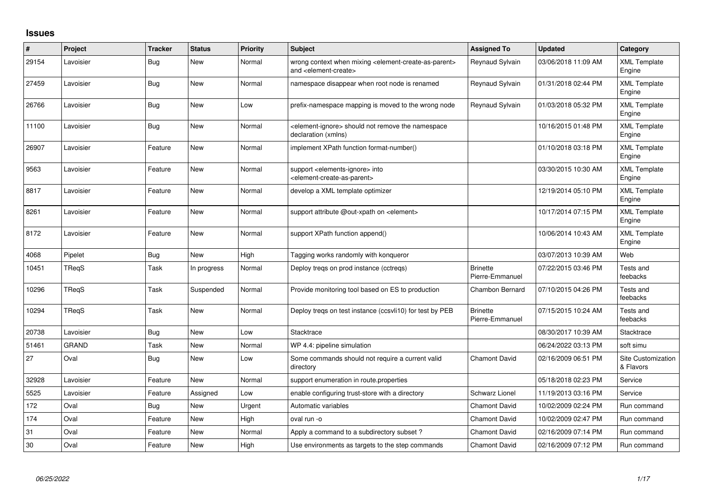## **Issues**

| $\#$  | Project      | <b>Tracker</b> | <b>Status</b> | <b>Priority</b> | <b>Subject</b>                                                                                                            | <b>Assigned To</b>                 | <b>Updated</b>      | Category                               |
|-------|--------------|----------------|---------------|-----------------|---------------------------------------------------------------------------------------------------------------------------|------------------------------------|---------------------|----------------------------------------|
| 29154 | Lavoisier    | Bug            | New           | Normal          | wrong context when mixing <element-create-as-parent><br/>and <element-create></element-create></element-create-as-parent> | Reynaud Sylvain                    | 03/06/2018 11:09 AM | <b>XML Template</b><br>Engine          |
| 27459 | Lavoisier    | <b>Bug</b>     | New           | Normal          | namespace disappear when root node is renamed                                                                             | Reynaud Sylvain                    | 01/31/2018 02:44 PM | <b>XML Template</b><br>Engine          |
| 26766 | Lavoisier    | <b>Bug</b>     | New           | Low             | prefix-namespace mapping is moved to the wrong node                                                                       | Reynaud Sylvain                    | 01/03/2018 05:32 PM | <b>XML Template</b><br>Engine          |
| 11100 | Lavoisier    | <b>Bug</b>     | New           | Normal          | element-ignore> should not remove the namespace><br>declaration (xmlns)                                                   |                                    | 10/16/2015 01:48 PM | <b>XML Template</b><br>Engine          |
| 26907 | Lavoisier    | Feature        | New           | Normal          | implement XPath function format-number()                                                                                  |                                    | 01/10/2018 03:18 PM | <b>XML Template</b><br>Engine          |
| 9563  | Lavoisier    | Feature        | New           | Normal          | support <elements-ignore> into<br/><element-create-as-parent></element-create-as-parent></elements-ignore>                |                                    | 03/30/2015 10:30 AM | <b>XML Template</b><br>Engine          |
| 8817  | Lavoisier    | Feature        | New           | Normal          | develop a XML template optimizer                                                                                          |                                    | 12/19/2014 05:10 PM | <b>XML Template</b><br>Engine          |
| 8261  | Lavoisier    | Feature        | New           | Normal          | support attribute @out-xpath on <element></element>                                                                       |                                    | 10/17/2014 07:15 PM | <b>XML Template</b><br>Engine          |
| 8172  | Lavoisier    | Feature        | New           | Normal          | support XPath function append()                                                                                           |                                    | 10/06/2014 10:43 AM | <b>XML Template</b><br>Engine          |
| 4068  | Pipelet      | Bug            | <b>New</b>    | High            | Tagging works randomly with konqueror                                                                                     |                                    | 03/07/2013 10:39 AM | Web                                    |
| 10451 | TReqS        | Task           | In progress   | Normal          | Deploy tregs on prod instance (cctregs)                                                                                   | <b>Brinette</b><br>Pierre-Emmanuel | 07/22/2015 03:46 PM | Tests and<br>feebacks                  |
| 10296 | TReqS        | Task           | Suspended     | Normal          | Provide monitoring tool based on ES to production                                                                         | Chambon Bernard                    | 07/10/2015 04:26 PM | Tests and<br>feebacks                  |
| 10294 | TRegS        | Task           | New           | Normal          | Deploy tregs on test instance (ccsvli10) for test by PEB                                                                  | <b>Brinette</b><br>Pierre-Emmanuel | 07/15/2015 10:24 AM | Tests and<br>feebacks                  |
| 20738 | Lavoisier    | Bug            | New           | Low             | Stacktrace                                                                                                                |                                    | 08/30/2017 10:39 AM | Stacktrace                             |
| 51461 | <b>GRAND</b> | Task           | <b>New</b>    | Normal          | WP 4.4: pipeline simulation                                                                                               |                                    | 06/24/2022 03:13 PM | soft simu                              |
| 27    | Oval         | Bug            | New           | Low             | Some commands should not require a current valid<br>directory                                                             | Chamont David                      | 02/16/2009 06:51 PM | <b>Site Customization</b><br>& Flavors |
| 32928 | Lavoisier    | Feature        | New           | Normal          | support enumeration in route properties                                                                                   |                                    | 05/18/2018 02:23 PM | Service                                |
| 5525  | Lavoisier    | Feature        | Assigned      | Low             | enable configuring trust-store with a directory                                                                           | <b>Schwarz Lionel</b>              | 11/19/2013 03:16 PM | Service                                |
| 172   | Oval         | <b>Bug</b>     | New           | Urgent          | Automatic variables                                                                                                       | <b>Chamont David</b>               | 10/02/2009 02:24 PM | Run command                            |
| 174   | Oval         | Feature        | New           | High            | oval run -o                                                                                                               | Chamont David                      | 10/02/2009 02:47 PM | Run command                            |
| 31    | Oval         | Feature        | New           | Normal          | Apply a command to a subdirectory subset?                                                                                 | <b>Chamont David</b>               | 02/16/2009 07:14 PM | Run command                            |
| 30    | Oval         | Feature        | New           | High            | Use environments as targets to the step commands                                                                          | <b>Chamont David</b>               | 02/16/2009 07:12 PM | Run command                            |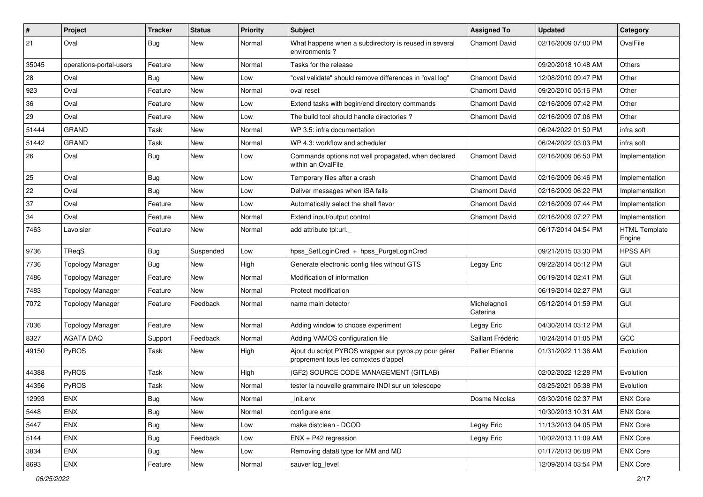| $\vert$ # | Project                 | <b>Tracker</b> | <b>Status</b> | <b>Priority</b> | <b>Subject</b>                                                                                 | <b>Assigned To</b>       | <b>Updated</b>      | Category                       |
|-----------|-------------------------|----------------|---------------|-----------------|------------------------------------------------------------------------------------------------|--------------------------|---------------------|--------------------------------|
| 21        | Oval                    | Bug            | New           | Normal          | What happens when a subdirectory is reused in several<br>environments?                         | Chamont David            | 02/16/2009 07:00 PM | OvalFile                       |
| 35045     | operations-portal-users | Feature        | <b>New</b>    | Normal          | Tasks for the release                                                                          |                          | 09/20/2018 10:48 AM | <b>Others</b>                  |
| 28        | Oval                    | <b>Bug</b>     | New           | Low             | "oval validate" should remove differences in "oval log"                                        | <b>Chamont David</b>     | 12/08/2010 09:47 PM | Other                          |
| 923       | Oval                    | Feature        | New           | Normal          | oval reset                                                                                     | <b>Chamont David</b>     | 09/20/2010 05:16 PM | Other                          |
| 36        | Oval                    | Feature        | New           | Low             | Extend tasks with begin/end directory commands                                                 | <b>Chamont David</b>     | 02/16/2009 07:42 PM | Other                          |
| 29        | Oval                    | Feature        | New           | Low             | The build tool should handle directories?                                                      | Chamont David            | 02/16/2009 07:06 PM | Other                          |
| 51444     | <b>GRAND</b>            | Task           | New           | Normal          | WP 3.5: infra documentation                                                                    |                          | 06/24/2022 01:50 PM | infra soft                     |
| 51442     | <b>GRAND</b>            | Task           | New           | Normal          | WP 4.3: workflow and scheduler                                                                 |                          | 06/24/2022 03:03 PM | infra soft                     |
| 26        | Oval                    | Bug            | New           | Low             | Commands options not well propagated, when declared<br>within an OvalFile                      | <b>Chamont David</b>     | 02/16/2009 06:50 PM | Implementation                 |
| 25        | Oval                    | <b>Bug</b>     | New           | Low             | Temporary files after a crash                                                                  | <b>Chamont David</b>     | 02/16/2009 06:46 PM | Implementation                 |
| 22        | Oval                    | <b>Bug</b>     | New           | Low             | Deliver messages when ISA fails                                                                | <b>Chamont David</b>     | 02/16/2009 06:22 PM | Implementation                 |
| 37        | Oval                    | Feature        | New           | Low             | Automatically select the shell flavor                                                          | Chamont David            | 02/16/2009 07:44 PM | Implementation                 |
| 34        | Oval                    | Feature        | New           | Normal          | Extend input/output control                                                                    | Chamont David            | 02/16/2009 07:27 PM | Implementation                 |
| 7463      | Lavoisier               | Feature        | New           | Normal          | add attribute tpl:url.                                                                         |                          | 06/17/2014 04:54 PM | <b>HTML Template</b><br>Engine |
| 9736      | TReqS                   | <b>Bug</b>     | Suspended     | Low             | hpss_SetLoginCred + hpss_PurgeLoginCred                                                        |                          | 09/21/2015 03:30 PM | <b>HPSS API</b>                |
| 7736      | <b>Topology Manager</b> | Bug            | <b>New</b>    | High            | Generate electronic config files without GTS                                                   | Legay Eric               | 09/22/2014 05:12 PM | GUI                            |
| 7486      | <b>Topology Manager</b> | Feature        | New           | Normal          | Modification of information                                                                    |                          | 06/19/2014 02:41 PM | GUI                            |
| 7483      | <b>Topology Manager</b> | Feature        | New           | Normal          | Protect modification                                                                           |                          | 06/19/2014 02:27 PM | GUI                            |
| 7072      | <b>Topology Manager</b> | Feature        | Feedback      | Normal          | name main detector                                                                             | Michelagnoli<br>Caterina | 05/12/2014 01:59 PM | GUI                            |
| 7036      | <b>Topology Manager</b> | Feature        | New           | Normal          | Adding window to choose experiment                                                             | Legay Eric               | 04/30/2014 03:12 PM | <b>GUI</b>                     |
| 8327      | <b>AGATA DAQ</b>        | Support        | Feedback      | Normal          | Adding VAMOS configuration file                                                                | Saillant Frédéric        | 10/24/2014 01:05 PM | GCC                            |
| 49150     | PyROS                   | Task           | New           | High            | Ajout du script PYROS wrapper sur pyros.py pour gérer<br>proprement tous les contextes d'appel | <b>Pallier Etienne</b>   | 01/31/2022 11:36 AM | Evolution                      |
| 44388     | PyROS                   | Task           | New           | High            | (GF2) SOURCE CODE MANAGEMENT (GITLAB)                                                          |                          | 02/02/2022 12:28 PM | Evolution                      |
| 44356     | PyROS                   | Task           | New           | Normal          | tester la nouvelle grammaire INDI sur un telescope                                             |                          | 03/25/2021 05:38 PM | Evolution                      |
| 12993     | ENX                     | <b>Bug</b>     | New           | Normal          | init.enx                                                                                       | Dosme Nicolas            | 03/30/2016 02:37 PM | <b>ENX Core</b>                |
| 5448      | <b>ENX</b>              | Bug            | New           | Normal          | configure enx                                                                                  |                          | 10/30/2013 10:31 AM | <b>ENX Core</b>                |
| 5447      | <b>ENX</b>              | <b>Bug</b>     | New           | Low             | make distclean - DCOD                                                                          | Legay Eric               | 11/13/2013 04:05 PM | <b>ENX Core</b>                |
| 5144      | <b>ENX</b>              | <b>Bug</b>     | Feedback      | Low             | ENX + P42 regression                                                                           | Legay Eric               | 10/02/2013 11:09 AM | <b>ENX Core</b>                |
| 3834      | <b>ENX</b>              | <b>Bug</b>     | New           | Low             | Removing data8 type for MM and MD                                                              |                          | 01/17/2013 06:08 PM | <b>ENX Core</b>                |
| 8693      | ENX                     | Feature        | New           | Normal          | sauver log_level                                                                               |                          | 12/09/2014 03:54 PM | <b>ENX Core</b>                |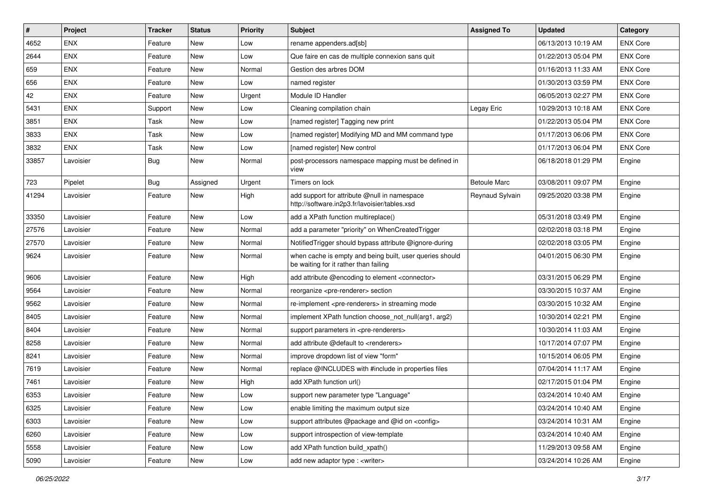| $\vert$ # | Project    | <b>Tracker</b> | <b>Status</b> | <b>Priority</b> | Subject                                                                                           | <b>Assigned To</b>  | <b>Updated</b>      | Category        |
|-----------|------------|----------------|---------------|-----------------|---------------------------------------------------------------------------------------------------|---------------------|---------------------|-----------------|
| 4652      | <b>ENX</b> | Feature        | New           | Low             | rename appenders.ad[sb]                                                                           |                     | 06/13/2013 10:19 AM | <b>ENX Core</b> |
| 2644      | <b>ENX</b> | Feature        | New           | Low             | Que faire en cas de multiple connexion sans quit                                                  |                     | 01/22/2013 05:04 PM | <b>ENX Core</b> |
| 659       | <b>ENX</b> | Feature        | New           | Normal          | Gestion des arbres DOM                                                                            |                     | 01/16/2013 11:33 AM | <b>ENX Core</b> |
| 656       | <b>ENX</b> | Feature        | New           | Low             | named register                                                                                    |                     | 01/30/2013 03:59 PM | <b>ENX Core</b> |
| 42        | <b>ENX</b> | Feature        | New           | Urgent          | Module ID Handler                                                                                 |                     | 06/05/2013 02:27 PM | <b>ENX Core</b> |
| 5431      | <b>ENX</b> | Support        | New           | Low             | Cleaning compilation chain                                                                        | Legay Eric          | 10/29/2013 10:18 AM | <b>ENX Core</b> |
| 3851      | <b>ENX</b> | Task           | New           | Low             | [named register] Tagging new print                                                                |                     | 01/22/2013 05:04 PM | <b>ENX Core</b> |
| 3833      | <b>ENX</b> | Task           | New           | Low             | [named register] Modifying MD and MM command type                                                 |                     | 01/17/2013 06:06 PM | <b>ENX Core</b> |
| 3832      | <b>ENX</b> | Task           | New           | Low             | [named register] New control                                                                      |                     | 01/17/2013 06:04 PM | <b>ENX Core</b> |
| 33857     | Lavoisier  | Bug            | New           | Normal          | post-processors namespace mapping must be defined in<br>view                                      |                     | 06/18/2018 01:29 PM | Engine          |
| 723       | Pipelet    | Bug            | Assigned      | Urgent          | Timers on lock                                                                                    | <b>Betoule Marc</b> | 03/08/2011 09:07 PM | Engine          |
| 41294     | Lavoisier  | Feature        | New           | High            | add support for attribute @null in namespace<br>http://software.in2p3.fr/lavoisier/tables.xsd     | Reynaud Sylvain     | 09/25/2020 03:38 PM | Engine          |
| 33350     | Lavoisier  | Feature        | <b>New</b>    | Low             | add a XPath function multireplace()                                                               |                     | 05/31/2018 03:49 PM | Engine          |
| 27576     | Lavoisier  | Feature        | New           | Normal          | add a parameter "priority" on WhenCreatedTrigger                                                  |                     | 02/02/2018 03:18 PM | Engine          |
| 27570     | Lavoisier  | Feature        | New           | Normal          | NotifiedTrigger should bypass attribute @ignore-during                                            |                     | 02/02/2018 03:05 PM | Engine          |
| 9624      | Lavoisier  | Feature        | New           | Normal          | when cache is empty and being built, user queries should<br>be waiting for it rather than failing |                     | 04/01/2015 06:30 PM | Engine          |
| 9606      | Lavoisier  | Feature        | New           | High            | add attribute @encoding to element <connector></connector>                                        |                     | 03/31/2015 06:29 PM | Engine          |
| 9564      | Lavoisier  | Feature        | New           | Normal          | reorganize <pre-renderer> section</pre-renderer>                                                  |                     | 03/30/2015 10:37 AM | Engine          |
| 9562      | Lavoisier  | Feature        | New           | Normal          | re-implement <pre-renderers> in streaming mode</pre-renderers>                                    |                     | 03/30/2015 10:32 AM | Engine          |
| 8405      | Lavoisier  | Feature        | New           | Normal          | implement XPath function choose not null(arg1, arg2)                                              |                     | 10/30/2014 02:21 PM | Engine          |
| 8404      | Lavoisier  | Feature        | New           | Normal          | support parameters in <pre-renderers></pre-renderers>                                             |                     | 10/30/2014 11:03 AM | Engine          |
| 8258      | Lavoisier  | Feature        | New           | Normal          | add attribute @default to <renderers></renderers>                                                 |                     | 10/17/2014 07:07 PM | Engine          |
| 8241      | Lavoisier  | Feature        | New           | Normal          | improve dropdown list of view "form"                                                              |                     | 10/15/2014 06:05 PM | Engine          |
| 7619      | Lavoisier  | Feature        | New           | Normal          | replace @INCLUDES with #include in properties files                                               |                     | 07/04/2014 11:17 AM | Engine          |
| 7461      | Lavoisier  | Feature        | New           | High            | add XPath function url()                                                                          |                     | 02/17/2015 01:04 PM | Engine          |
| 6353      | Lavoisier  | Feature        | New           | Low             | support new parameter type "Language"                                                             |                     | 03/24/2014 10:40 AM | Engine          |
| 6325      | Lavoisier  | Feature        | New           | Low             | enable limiting the maximum output size                                                           |                     | 03/24/2014 10:40 AM | Engine          |
| 6303      | Lavoisier  | Feature        | New           | Low             | support attributes @package and @id on <config></config>                                          |                     | 03/24/2014 10:31 AM | Engine          |
| 6260      | Lavoisier  | Feature        | New           | Low             | support introspection of view-template                                                            |                     | 03/24/2014 10:40 AM | Engine          |
| 5558      | Lavoisier  | Feature        | New           | Low             | add XPath function build_xpath()                                                                  |                     | 11/29/2013 09:58 AM | Engine          |
| 5090      | Lavoisier  | Feature        | New           | Low             | add new adaptor type : <writer></writer>                                                          |                     | 03/24/2014 10:26 AM | Engine          |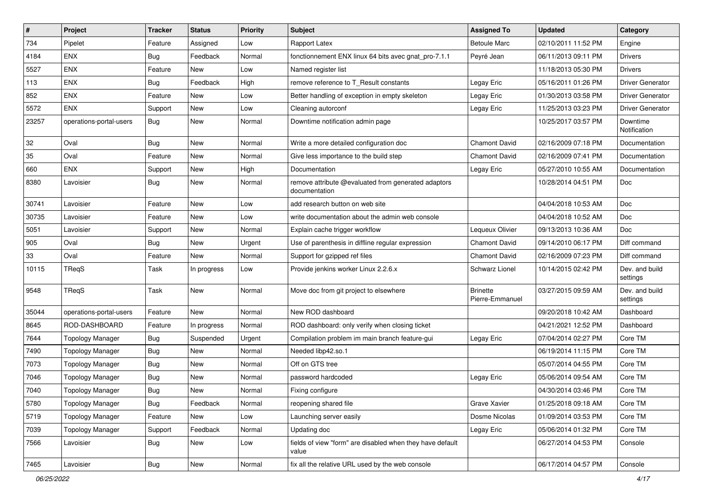| $\sharp$ | <b>Project</b>          | <b>Tracker</b> | <b>Status</b> | <b>Priority</b> | Subject                                                              | <b>Assigned To</b>                 | <b>Updated</b>      | Category                   |
|----------|-------------------------|----------------|---------------|-----------------|----------------------------------------------------------------------|------------------------------------|---------------------|----------------------------|
| 734      | Pipelet                 | Feature        | Assigned      | Low             | Rapport Latex                                                        | <b>Betoule Marc</b>                | 02/10/2011 11:52 PM | Engine                     |
| 4184     | <b>ENX</b>              | Bug            | Feedback      | Normal          | fonctionnement ENX linux 64 bits avec gnat_pro-7.1.1                 | Peyré Jean                         | 06/11/2013 09:11 PM | <b>Drivers</b>             |
| 5527     | <b>ENX</b>              | Feature        | <b>New</b>    | Low             | Named register list                                                  |                                    | 11/18/2013 05:30 PM | <b>Drivers</b>             |
| 113      | ENX                     | Bug            | Feedback      | High            | remove reference to T_Result constants                               | Legay Eric                         | 05/16/2011 01:26 PM | <b>Driver Generator</b>    |
| 852      | <b>ENX</b>              | Feature        | New           | Low             | Better handling of exception in empty skeleton                       | Legay Eric                         | 01/30/2013 03:58 PM | <b>Driver Generator</b>    |
| 5572     | ENX                     | Support        | New           | Low             | Cleaning autorconf                                                   | Legay Eric                         | 11/25/2013 03:23 PM | <b>Driver Generator</b>    |
| 23257    | operations-portal-users | Bug            | New           | Normal          | Downtime notification admin page                                     |                                    | 10/25/2017 03:57 PM | Downtime<br>Notification   |
| 32       | Oval                    | Bug            | New           | Normal          | Write a more detailed configuration doc                              | <b>Chamont David</b>               | 02/16/2009 07:18 PM | Documentation              |
| 35       | Oval                    | Feature        | <b>New</b>    | Normal          | Give less importance to the build step                               | <b>Chamont David</b>               | 02/16/2009 07:41 PM | Documentation              |
| 660      | <b>ENX</b>              | Support        | New           | High            | Documentation                                                        | Legay Eric                         | 05/27/2010 10:55 AM | Documentation              |
| 8380     | Lavoisier               | <b>Bug</b>     | New           | Normal          | remove attribute @evaluated from generated adaptors<br>documentation |                                    | 10/28/2014 04:51 PM | Doc                        |
| 30741    | Lavoisier               | Feature        | New           | Low             | add research button on web site                                      |                                    | 04/04/2018 10:53 AM | Doc                        |
| 30735    | Lavoisier               | Feature        | New           | Low             | write documentation about the admin web console                      |                                    | 04/04/2018 10:52 AM | <b>Doc</b>                 |
| 5051     | Lavoisier               | Support        | New           | Normal          | Explain cache trigger workflow                                       | Lequeux Olivier                    | 09/13/2013 10:36 AM | Doc                        |
| 905      | Oval                    | <b>Bug</b>     | New           | Urgent          | Use of parenthesis in diffline regular expression                    | <b>Chamont David</b>               | 09/14/2010 06:17 PM | Diff command               |
| 33       | Oval                    | Feature        | New           | Normal          | Support for gzipped ref files                                        | <b>Chamont David</b>               | 02/16/2009 07:23 PM | Diff command               |
| 10115    | TReqS                   | Task           | In progress   | Low             | Provide jenkins worker Linux 2.2.6.x                                 | Schwarz Lionel                     | 10/14/2015 02:42 PM | Dev. and build<br>settings |
| 9548     | TReqS                   | Task           | <b>New</b>    | Normal          | Move doc from git project to elsewhere                               | <b>Brinette</b><br>Pierre-Emmanuel | 03/27/2015 09:59 AM | Dev. and build<br>settings |
| 35044    | operations-portal-users | Feature        | New           | Normal          | New ROD dashboard                                                    |                                    | 09/20/2018 10:42 AM | Dashboard                  |
| 8645     | ROD-DASHBOARD           | Feature        | In progress   | Normal          | ROD dashboard: only verify when closing ticket                       |                                    | 04/21/2021 12:52 PM | Dashboard                  |
| 7644     | <b>Topology Manager</b> | <b>Bug</b>     | Suspended     | Urgent          | Compilation problem im main branch feature-gui                       | Legay Eric                         | 07/04/2014 02:27 PM | Core TM                    |
| 7490     | <b>Topology Manager</b> | Bug            | <b>New</b>    | Normal          | Needed libp42.so.1                                                   |                                    | 06/19/2014 11:15 PM | Core TM                    |
| 7073     | <b>Topology Manager</b> | Bug            | New           | Normal          | Off on GTS tree                                                      |                                    | 05/07/2014 04:55 PM | Core TM                    |
| 7046     | <b>Topology Manager</b> | <b>Bug</b>     | New           | Normal          | password hardcoded                                                   | Legay Eric                         | 05/06/2014 09:54 AM | Core TM                    |
| 7040     | <b>Topology Manager</b> | Bug            | New           | Normal          | Fixing configure                                                     |                                    | 04/30/2014 03:46 PM | Core TM                    |
| 5780     | <b>Topology Manager</b> | <b>Bug</b>     | Feedback      | Normal          | reopening shared file                                                | Grave Xavier                       | 01/25/2018 09:18 AM | Core TM                    |
| 5719     | <b>Topology Manager</b> | Feature        | New           | Low             | Launching server easily                                              | Dosme Nicolas                      | 01/09/2014 03:53 PM | Core TM                    |
| 7039     | <b>Topology Manager</b> | Support        | Feedback      | Normal          | Updating doc                                                         | Legay Eric                         | 05/06/2014 01:32 PM | Core TM                    |
| 7566     | Lavoisier               | Bug            | New           | Low             | fields of view "form" are disabled when they have default<br>value   |                                    | 06/27/2014 04:53 PM | Console                    |
| 7465     | Lavoisier               | Bug            | New           | Normal          | fix all the relative URL used by the web console                     |                                    | 06/17/2014 04:57 PM | Console                    |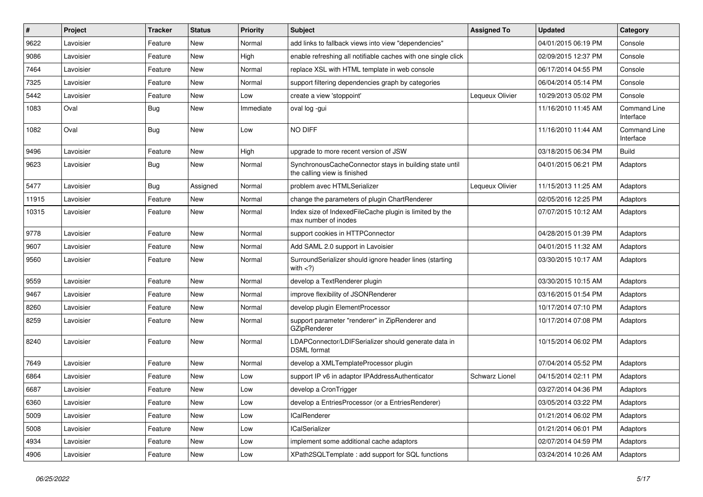| #     | <b>Project</b> | <b>Tracker</b> | <b>Status</b> | <b>Priority</b> | Subject                                                                                 | <b>Assigned To</b> | <b>Updated</b>      | Category                         |
|-------|----------------|----------------|---------------|-----------------|-----------------------------------------------------------------------------------------|--------------------|---------------------|----------------------------------|
| 9622  | Lavoisier      | Feature        | New           | Normal          | add links to fallback views into view "dependencies"                                    |                    | 04/01/2015 06:19 PM | Console                          |
| 9086  | Lavoisier      | Feature        | New           | High            | enable refreshing all notifiable caches with one single click                           |                    | 02/09/2015 12:37 PM | Console                          |
| 7464  | Lavoisier      | Feature        | New           | Normal          | replace XSL with HTML template in web console                                           |                    | 06/17/2014 04:55 PM | Console                          |
| 7325  | Lavoisier      | Feature        | New           | Normal          | support filtering dependencies graph by categories                                      |                    | 06/04/2014 05:14 PM | Console                          |
| 5442  | Lavoisier      | Feature        | New           | Low             | create a view 'stoppoint'                                                               | Lequeux Olivier    | 10/29/2013 05:02 PM | Console                          |
| 1083  | Oval           | Bug            | New           | Immediate       | oval log -gui                                                                           |                    | 11/16/2010 11:45 AM | Command Line<br>Interface        |
| 1082  | Oval           | Bug            | New           | Low             | NO DIFF                                                                                 |                    | 11/16/2010 11:44 AM | <b>Command Line</b><br>Interface |
| 9496  | Lavoisier      | Feature        | New           | High            | upgrade to more recent version of JSW                                                   |                    | 03/18/2015 06:34 PM | <b>Build</b>                     |
| 9623  | Lavoisier      | Bug            | New           | Normal          | SynchronousCacheConnector stays in building state until<br>the calling view is finished |                    | 04/01/2015 06:21 PM | Adaptors                         |
| 5477  | Lavoisier      | Bug            | Assigned      | Normal          | problem avec HTMLSerializer                                                             | Lequeux Olivier    | 11/15/2013 11:25 AM | Adaptors                         |
| 11915 | Lavoisier      | Feature        | New           | Normal          | change the parameters of plugin ChartRenderer                                           |                    | 02/05/2016 12:25 PM | Adaptors                         |
| 10315 | Lavoisier      | Feature        | New           | Normal          | Index size of IndexedFileCache plugin is limited by the<br>max number of inodes         |                    | 07/07/2015 10:12 AM | Adaptors                         |
| 9778  | Lavoisier      | Feature        | New           | Normal          | support cookies in HTTPConnector                                                        |                    | 04/28/2015 01:39 PM | Adaptors                         |
| 9607  | Lavoisier      | Feature        | New           | Normal          | Add SAML 2.0 support in Lavoisier                                                       |                    | 04/01/2015 11:32 AM | Adaptors                         |
| 9560  | Lavoisier      | Feature        | <b>New</b>    | Normal          | SurroundSerializer should ignore header lines (starting<br>with $<$ ?)                  |                    | 03/30/2015 10:17 AM | Adaptors                         |
| 9559  | Lavoisier      | Feature        | <b>New</b>    | Normal          | develop a TextRenderer plugin                                                           |                    | 03/30/2015 10:15 AM | Adaptors                         |
| 9467  | Lavoisier      | Feature        | New           | Normal          | improve flexibility of JSONRenderer                                                     |                    | 03/16/2015 01:54 PM | Adaptors                         |
| 8260  | Lavoisier      | Feature        | <b>New</b>    | Normal          | develop plugin ElementProcessor                                                         |                    | 10/17/2014 07:10 PM | Adaptors                         |
| 8259  | Lavoisier      | Feature        | New           | Normal          | support parameter "renderer" in ZipRenderer and<br>GZipRenderer                         |                    | 10/17/2014 07:08 PM | Adaptors                         |
| 8240  | Lavoisier      | Feature        | New           | Normal          | LDAPConnector/LDIFSerializer should generate data in<br><b>DSML</b> format              |                    | 10/15/2014 06:02 PM | Adaptors                         |
| 7649  | Lavoisier      | Feature        | New           | Normal          | develop a XMLTemplateProcessor plugin                                                   |                    | 07/04/2014 05:52 PM | Adaptors                         |
| 6864  | Lavoisier      | Feature        | New           | Low             | support IP v6 in adaptor IPAddressAuthenticator                                         | Schwarz Lionel     | 04/15/2014 02:11 PM | Adaptors                         |
| 6687  | Lavoisier      | Feature        | New           | Low             | develop a CronTrigger                                                                   |                    | 03/27/2014 04:36 PM | Adaptors                         |
| 6360  | Lavoisier      | Feature        | New           | Low             | develop a EntriesProcessor (or a EntriesRenderer)                                       |                    | 03/05/2014 03:22 PM | Adaptors                         |
| 5009  | Lavoisier      | Feature        | New           | Low             | <b>ICalRenderer</b>                                                                     |                    | 01/21/2014 06:02 PM | Adaptors                         |
| 5008  | Lavoisier      | Feature        | New           | Low             | <b>ICalSerializer</b>                                                                   |                    | 01/21/2014 06:01 PM | Adaptors                         |
| 4934  | Lavoisier      | Feature        | New           | Low             | implement some additional cache adaptors                                                |                    | 02/07/2014 04:59 PM | Adaptors                         |
| 4906  | Lavoisier      | Feature        | New           | Low             | XPath2SQLTemplate: add support for SQL functions                                        |                    | 03/24/2014 10:26 AM | Adaptors                         |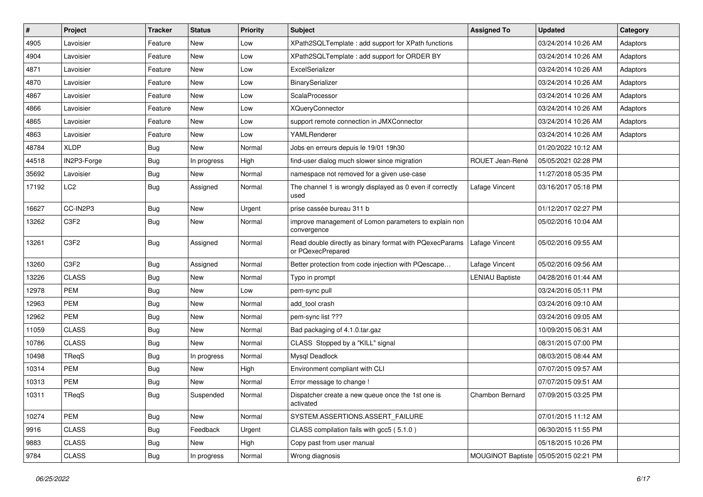| $\sharp$ | Project                       | <b>Tracker</b> | <b>Status</b> | <b>Priority</b> | <b>Subject</b>                                                               | <b>Assigned To</b>     | <b>Updated</b>      | Category |
|----------|-------------------------------|----------------|---------------|-----------------|------------------------------------------------------------------------------|------------------------|---------------------|----------|
| 4905     | Lavoisier                     | Feature        | New           | Low             | XPath2SQLTemplate : add support for XPath functions                          |                        | 03/24/2014 10:26 AM | Adaptors |
| 4904     | Lavoisier                     | Feature        | New           | Low             | XPath2SQLTemplate : add support for ORDER BY                                 |                        | 03/24/2014 10:26 AM | Adaptors |
| 4871     | Lavoisier                     | Feature        | New           | Low             | ExcelSerializer                                                              |                        | 03/24/2014 10:26 AM | Adaptors |
| 4870     | Lavoisier                     | Feature        | New           | Low             | BinarySerializer                                                             |                        | 03/24/2014 10:26 AM | Adaptors |
| 4867     | Lavoisier                     | Feature        | New           | Low             | ScalaProcessor                                                               |                        | 03/24/2014 10:26 AM | Adaptors |
| 4866     | Lavoisier                     | Feature        | New           | Low             | <b>XQueryConnector</b>                                                       |                        | 03/24/2014 10:26 AM | Adaptors |
| 4865     | Lavoisier                     | Feature        | New           | Low             | support remote connection in JMXConnector                                    |                        | 03/24/2014 10:26 AM | Adaptors |
| 4863     | Lavoisier                     | Feature        | New           | Low             | YAMLRenderer                                                                 |                        | 03/24/2014 10:26 AM | Adaptors |
| 48784    | <b>XLDP</b>                   | <b>Bug</b>     | New           | Normal          | Jobs en erreurs depuis le 19/01 19h30                                        |                        | 01/20/2022 10:12 AM |          |
| 44518    | IN2P3-Forge                   | Bug            | In progress   | High            | find-user dialog much slower since migration                                 | ROUET Jean-René        | 05/05/2021 02:28 PM |          |
| 35692    | Lavoisier                     | <b>Bug</b>     | New           | Normal          | namespace not removed for a given use-case                                   |                        | 11/27/2018 05:35 PM |          |
| 17192    | LC <sub>2</sub>               | <b>Bug</b>     | Assigned      | Normal          | The channel 1 is wrongly displayed as 0 even if correctly<br>used            | Lafage Vincent         | 03/16/2017 05:18 PM |          |
| 16627    | CC-IN2P3                      | <b>Bug</b>     | New           | Urgent          | prise cassée bureau 311 b                                                    |                        | 01/12/2017 02:27 PM |          |
| 13262    | C3F2                          | <b>Bug</b>     | New           | Normal          | improve management of Lomon parameters to explain non<br>convergence         |                        | 05/02/2016 10:04 AM |          |
| 13261    | C <sub>3</sub> F <sub>2</sub> | Bug            | Assigned      | Normal          | Read double directly as binary format with PQexecParams<br>or PQexecPrepared | Lafage Vincent         | 05/02/2016 09:55 AM |          |
| 13260    | C3F2                          | Bug            | Assigned      | Normal          | Better protection from code injection with PQescape                          | Lafage Vincent         | 05/02/2016 09:56 AM |          |
| 13226    | <b>CLASS</b>                  | <b>Bug</b>     | New           | Normal          | Typo in prompt                                                               | <b>LENIAU Baptiste</b> | 04/28/2016 01:44 AM |          |
| 12978    | <b>PEM</b>                    | Bug            | New           | Low             | pem-sync pull                                                                |                        | 03/24/2016 05:11 PM |          |
| 12963    | PEM                           | <b>Bug</b>     | New           | Normal          | add tool crash                                                               |                        | 03/24/2016 09:10 AM |          |
| 12962    | <b>PEM</b>                    | <b>Bug</b>     | New           | Normal          | pem-sync list ???                                                            |                        | 03/24/2016 09:05 AM |          |
| 11059    | <b>CLASS</b>                  | <b>Bug</b>     | New           | Normal          | Bad packaging of 4.1.0.tar.gaz                                               |                        | 10/09/2015 06:31 AM |          |
| 10786    | <b>CLASS</b>                  | <b>Bug</b>     | New           | Normal          | CLASS Stopped by a "KILL" signal                                             |                        | 08/31/2015 07:00 PM |          |
| 10498    | TReqS                         | <b>Bug</b>     | In progress   | Normal          | Mysql Deadlock                                                               |                        | 08/03/2015 08:44 AM |          |
| 10314    | PEM                           | <b>Bug</b>     | New           | High            | Environment compliant with CLI                                               |                        | 07/07/2015 09:57 AM |          |
| 10313    | <b>PEM</b>                    | <b>Bug</b>     | New           | Normal          | Error message to change !                                                    |                        | 07/07/2015 09:51 AM |          |
| 10311    | TReqS                         | i Bug          | Suspended     | Normal          | Dispatcher create a new queue once the 1st one is<br>activated               | Chambon Bernard        | 07/09/2015 03:25 PM |          |
| 10274    | PEM                           | <b>Bug</b>     | New           | Normal          | SYSTEM.ASSERTIONS.ASSERT_FAILURE                                             |                        | 07/01/2015 11:12 AM |          |
| 9916     | <b>CLASS</b>                  | <b>Bug</b>     | Feedback      | Urgent          | CLASS compilation fails with gcc5 (5.1.0)                                    |                        | 06/30/2015 11:55 PM |          |
| 9883     | <b>CLASS</b>                  | <b>Bug</b>     | New           | High            | Copy past from user manual                                                   |                        | 05/18/2015 10:26 PM |          |
| 9784     | <b>CLASS</b>                  | <b>Bug</b>     | In progress   | Normal          | Wrong diagnosis                                                              | MOUGINOT Baptiste      | 05/05/2015 02:21 PM |          |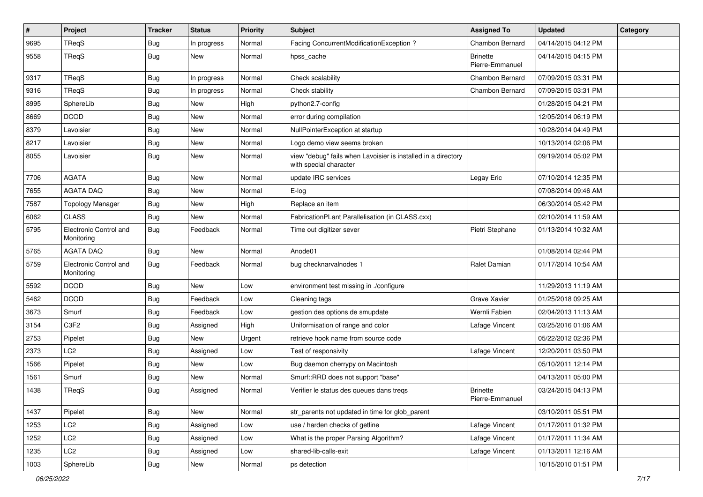| $\pmb{\sharp}$ | Project                              | <b>Tracker</b> | <b>Status</b> | <b>Priority</b> | Subject                                                                                 | <b>Assigned To</b>                 | <b>Updated</b>      | Category |
|----------------|--------------------------------------|----------------|---------------|-----------------|-----------------------------------------------------------------------------------------|------------------------------------|---------------------|----------|
| 9695           | TReqS                                | <b>Bug</b>     | In progress   | Normal          | Facing ConcurrentModificationException ?                                                | Chambon Bernard                    | 04/14/2015 04:12 PM |          |
| 9558           | TReqS                                | <b>Bug</b>     | New           | Normal          | hpss_cache                                                                              | <b>Brinette</b><br>Pierre-Emmanuel | 04/14/2015 04:15 PM |          |
| 9317           | TReqS                                | Bug            | In progress   | Normal          | Check scalability                                                                       | Chambon Bernard                    | 07/09/2015 03:31 PM |          |
| 9316           | TReqS                                | <b>Bug</b>     | In progress   | Normal          | Check stability                                                                         | Chambon Bernard                    | 07/09/2015 03:31 PM |          |
| 8995           | SphereLib                            | <b>Bug</b>     | New           | High            | python2.7-config                                                                        |                                    | 01/28/2015 04:21 PM |          |
| 8669           | <b>DCOD</b>                          | <b>Bug</b>     | New           | Normal          | error during compilation                                                                |                                    | 12/05/2014 06:19 PM |          |
| 8379           | Lavoisier                            | <b>Bug</b>     | New           | Normal          | NullPointerException at startup                                                         |                                    | 10/28/2014 04:49 PM |          |
| 8217           | Lavoisier                            | <b>Bug</b>     | <b>New</b>    | Normal          | Logo demo view seems broken                                                             |                                    | 10/13/2014 02:06 PM |          |
| 8055           | Lavoisier                            | <b>Bug</b>     | <b>New</b>    | Normal          | view "debug" fails when Lavoisier is installed in a directory<br>with special character |                                    | 09/19/2014 05:02 PM |          |
| 7706           | <b>AGATA</b>                         | <b>Bug</b>     | New           | Normal          | update IRC services                                                                     | Legay Eric                         | 07/10/2014 12:35 PM |          |
| 7655           | <b>AGATA DAQ</b>                     | <b>Bug</b>     | New           | Normal          | E-log                                                                                   |                                    | 07/08/2014 09:46 AM |          |
| 7587           | <b>Topology Manager</b>              | <b>Bug</b>     | New           | High            | Replace an item                                                                         |                                    | 06/30/2014 05:42 PM |          |
| 6062           | <b>CLASS</b>                         | <b>Bug</b>     | <b>New</b>    | Normal          | FabricationPLant Parallelisation (in CLASS.cxx)                                         |                                    | 02/10/2014 11:59 AM |          |
| 5795           | Electronic Control and<br>Monitoring | Bug            | Feedback      | Normal          | Time out digitizer sever                                                                | Pietri Stephane                    | 01/13/2014 10:32 AM |          |
| 5765           | <b>AGATA DAQ</b>                     | <b>Bug</b>     | <b>New</b>    | Normal          | Anode01                                                                                 |                                    | 01/08/2014 02:44 PM |          |
| 5759           | Electronic Control and<br>Monitoring | Bug            | Feedback      | Normal          | bug checknarvalnodes 1                                                                  | Ralet Damian                       | 01/17/2014 10:54 AM |          |
| 5592           | <b>DCOD</b>                          | <b>Bug</b>     | <b>New</b>    | Low             | environment test missing in ./configure                                                 |                                    | 11/29/2013 11:19 AM |          |
| 5462           | <b>DCOD</b>                          | <b>Bug</b>     | Feedback      | Low             | Cleaning tags                                                                           | Grave Xavier                       | 01/25/2018 09:25 AM |          |
| 3673           | Smurf                                | Bug            | Feedback      | Low             | gestion des options de smupdate                                                         | Wernli Fabien                      | 02/04/2013 11:13 AM |          |
| 3154           | C <sub>3F2</sub>                     | <b>Bug</b>     | Assigned      | High            | Uniformisation of range and color                                                       | Lafage Vincent                     | 03/25/2016 01:06 AM |          |
| 2753           | Pipelet                              | <b>Bug</b>     | New           | Urgent          | retrieve hook name from source code                                                     |                                    | 05/22/2012 02:36 PM |          |
| 2373           | LC <sub>2</sub>                      | <b>Bug</b>     | Assigned      | Low             | Test of responsivity                                                                    | Lafage Vincent                     | 12/20/2011 03:50 PM |          |
| 1566           | Pipelet                              | <b>Bug</b>     | New           | Low             | Bug daemon cherrypy on Macintosh                                                        |                                    | 05/10/2011 12:14 PM |          |
| 1561           | Smurf                                | <b>Bug</b>     | New           | Normal          | Smurf::RRD does not support "base"                                                      |                                    | 04/13/2011 05:00 PM |          |
| 1438           | TReqS                                | <b>Bug</b>     | Assigned      | Normal          | Verifier le status des queues dans tregs                                                | <b>Brinette</b><br>Pierre-Emmanuel | 03/24/2015 04:13 PM |          |
| 1437           | Pipelet                              | <b>Bug</b>     | New           | Normal          | str_parents not updated in time for glob_parent                                         |                                    | 03/10/2011 05:51 PM |          |
| 1253           | LC2                                  | Bug            | Assigned      | Low             | use / harden checks of getline                                                          | Lafage Vincent                     | 01/17/2011 01:32 PM |          |
| 1252           | LC <sub>2</sub>                      | <b>Bug</b>     | Assigned      | Low             | What is the proper Parsing Algorithm?                                                   | Lafage Vincent                     | 01/17/2011 11:34 AM |          |
| 1235           | LC <sub>2</sub>                      | <b>Bug</b>     | Assigned      | Low             | shared-lib-calls-exit                                                                   | Lafage Vincent                     | 01/13/2011 12:16 AM |          |
| 1003           | SphereLib                            | <b>Bug</b>     | New           | Normal          | ps detection                                                                            |                                    | 10/15/2010 01:51 PM |          |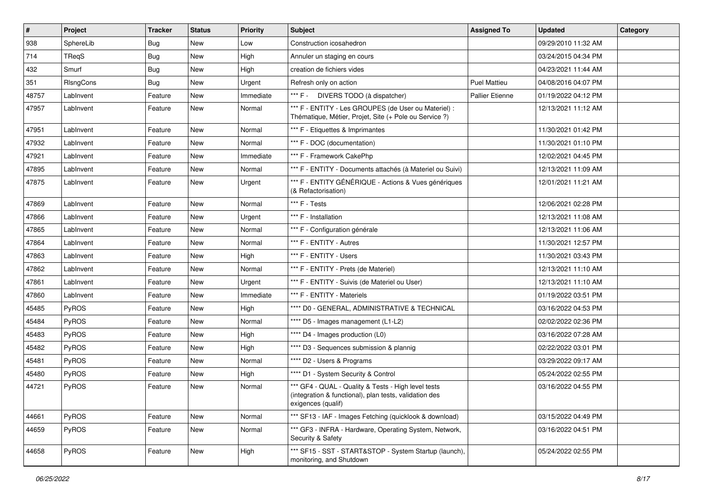| $\vert$ # | <b>Project</b> | <b>Tracker</b> | <b>Status</b> | <b>Priority</b> | <b>Subject</b>                                                                                                                      | <b>Assigned To</b>     | <b>Updated</b>      | Category |
|-----------|----------------|----------------|---------------|-----------------|-------------------------------------------------------------------------------------------------------------------------------------|------------------------|---------------------|----------|
| 938       | SphereLib      | Bug            | New           | Low             | Construction icosahedron                                                                                                            |                        | 09/29/2010 11:32 AM |          |
| 714       | TReqS          | <b>Bug</b>     | New           | High            | Annuler un staging en cours                                                                                                         |                        | 03/24/2015 04:34 PM |          |
| 432       | Smurf          | <b>Bug</b>     | New           | High            | creation de fichiers vides                                                                                                          |                        | 04/23/2021 11:44 AM |          |
| 351       | RIsngCons      | Bug            | New           | Urgent          | Refresh only on action                                                                                                              | <b>Puel Mattieu</b>    | 04/08/2016 04:07 PM |          |
| 48757     | LabInvent      | Feature        | New           | Immediate       | *** F - DIVERS TODO (à dispatcher)                                                                                                  | <b>Pallier Etienne</b> | 01/19/2022 04:12 PM |          |
| 47957     | LabInvent      | Feature        | New           | Normal          | *** F - ENTITY - Les GROUPES (de User ou Materiel) :<br>Thématique, Métier, Projet, Site (+ Pole ou Service ?)                      |                        | 12/13/2021 11:12 AM |          |
| 47951     | LabInvent      | Feature        | New           | Normal          | *** F - Etiquettes & Imprimantes                                                                                                    |                        | 11/30/2021 01:42 PM |          |
| 47932     | LabInvent      | Feature        | New           | Normal          | *** F - DOC (documentation)                                                                                                         |                        | 11/30/2021 01:10 PM |          |
| 47921     | LabInvent      | Feature        | New           | Immediate       | *** F - Framework CakePhp                                                                                                           |                        | 12/02/2021 04:45 PM |          |
| 47895     | LabInvent      | Feature        | New           | Normal          | *** F - ENTITY - Documents attachés (à Materiel ou Suivi)                                                                           |                        | 12/13/2021 11:09 AM |          |
| 47875     | LabInvent      | Feature        | New           | Urgent          | *** F - ENTITY GÉNÉRIQUE - Actions & Vues génériques<br>(& Refactorisation)                                                         |                        | 12/01/2021 11:21 AM |          |
| 47869     | LabInvent      | Feature        | New           | Normal          | *** $F - Tests$                                                                                                                     |                        | 12/06/2021 02:28 PM |          |
| 47866     | LabInvent      | Feature        | New           | Urgent          | *** F - Installation                                                                                                                |                        | 12/13/2021 11:08 AM |          |
| 47865     | LabInvent      | Feature        | New           | Normal          | *** F - Configuration générale                                                                                                      |                        | 12/13/2021 11:06 AM |          |
| 47864     | LabInvent      | Feature        | New           | Normal          | *** F - ENTITY - Autres                                                                                                             |                        | 11/30/2021 12:57 PM |          |
| 47863     | LabInvent      | Feature        | New           | High            | *** F - ENTITY - Users                                                                                                              |                        | 11/30/2021 03:43 PM |          |
| 47862     | LabInvent      | Feature        | New           | Normal          | *** F - ENTITY - Prets (de Materiel)                                                                                                |                        | 12/13/2021 11:10 AM |          |
| 47861     | LabInvent      | Feature        | New           | Urgent          | *** F - ENTITY - Suivis (de Materiel ou User)                                                                                       |                        | 12/13/2021 11:10 AM |          |
| 47860     | LabInvent      | Feature        | New           | Immediate       | *** F - ENTITY - Materiels                                                                                                          |                        | 01/19/2022 03:51 PM |          |
| 45485     | PyROS          | Feature        | New           | High            | **** D0 - GENERAL, ADMINISTRATIVE & TECHNICAL                                                                                       |                        | 03/16/2022 04:53 PM |          |
| 45484     | PyROS          | Feature        | New           | Normal          | **** D5 - Images management (L1-L2)                                                                                                 |                        | 02/02/2022 02:36 PM |          |
| 45483     | PyROS          | Feature        | New           | High            | **** D4 - Images production (L0)                                                                                                    |                        | 03/16/2022 07:28 AM |          |
| 45482     | PyROS          | Feature        | New           | High            | **** D3 - Sequences submission & plannig                                                                                            |                        | 02/22/2022 03:01 PM |          |
| 45481     | PyROS          | Feature        | New           | Normal          | **** D2 - Users & Programs                                                                                                          |                        | 03/29/2022 09:17 AM |          |
| 45480     | PyROS          | Feature        | New           | High            | **** D1 - System Security & Control                                                                                                 |                        | 05/24/2022 02:55 PM |          |
| 44721     | PyROS          | Feature        | New           | Normal          | *** GF4 - QUAL - Quality & Tests - High level tests<br>(integration & functional), plan tests, validation des<br>exigences (qualif) |                        | 03/16/2022 04:55 PM |          |
| 44661     | PyROS          | Feature        | New           | Normal          | *** SF13 - IAF - Images Fetching (quicklook & download)                                                                             |                        | 03/15/2022 04:49 PM |          |
| 44659     | PyROS          | Feature        | New           | Normal          | *** GF3 - INFRA - Hardware, Operating System, Network,<br>Security & Safety                                                         |                        | 03/16/2022 04:51 PM |          |
| 44658     | PyROS          | Feature        | New           | High            | *** SF15 - SST - START&STOP - System Startup (launch),<br>monitoring, and Shutdown                                                  |                        | 05/24/2022 02:55 PM |          |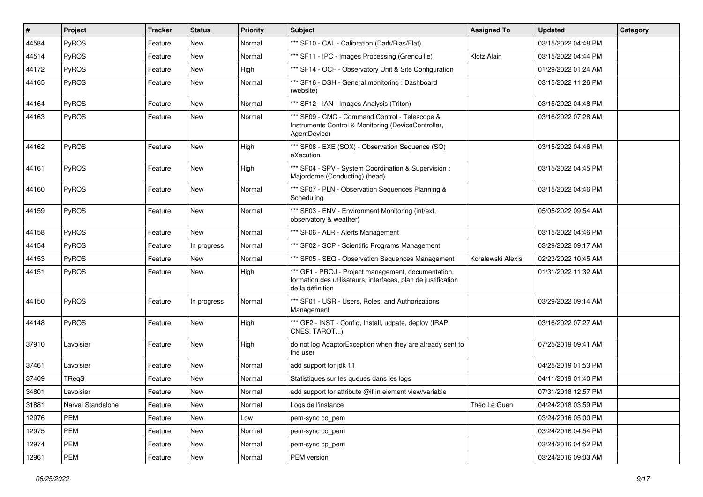| $\pmb{\#}$ | Project           | <b>Tracker</b> | <b>Status</b> | <b>Priority</b> | Subject                                                                                                                                  | <b>Assigned To</b> | <b>Updated</b>      | Category |
|------------|-------------------|----------------|---------------|-----------------|------------------------------------------------------------------------------------------------------------------------------------------|--------------------|---------------------|----------|
| 44584      | PyROS             | Feature        | New           | Normal          | *** SF10 - CAL - Calibration (Dark/Bias/Flat)                                                                                            |                    | 03/15/2022 04:48 PM |          |
| 44514      | PyROS             | Feature        | <b>New</b>    | Normal          | *** SF11 - IPC - Images Processing (Grenouille)                                                                                          | Klotz Alain        | 03/15/2022 04:44 PM |          |
| 44172      | PyROS             | Feature        | <b>New</b>    | High            | *** SF14 - OCF - Observatory Unit & Site Configuration                                                                                   |                    | 01/29/2022 01:24 AM |          |
| 44165      | PyROS             | Feature        | New           | Normal          | *** SF16 - DSH - General monitoring: Dashboard<br>(website)                                                                              |                    | 03/15/2022 11:26 PM |          |
| 44164      | PyROS             | Feature        | <b>New</b>    | Normal          | *** SF12 - IAN - Images Analysis (Triton)                                                                                                |                    | 03/15/2022 04:48 PM |          |
| 44163      | PyROS             | Feature        | New           | Normal          | *** SF09 - CMC - Command Control - Telescope &<br>Instruments Control & Monitoring (DeviceController,<br>AgentDevice)                    |                    | 03/16/2022 07:28 AM |          |
| 44162      | PyROS             | Feature        | <b>New</b>    | High            | *** SF08 - EXE (SOX) - Observation Sequence (SO)<br>eXecution                                                                            |                    | 03/15/2022 04:46 PM |          |
| 44161      | PyROS             | Feature        | New           | High            | *** SF04 - SPV - System Coordination & Supervision :<br>Majordome (Conducting) (head)                                                    |                    | 03/15/2022 04:45 PM |          |
| 44160      | PyROS             | Feature        | <b>New</b>    | Normal          | *** SF07 - PLN - Observation Sequences Planning &<br>Scheduling                                                                          |                    | 03/15/2022 04:46 PM |          |
| 44159      | PyROS             | Feature        | <b>New</b>    | Normal          | *** SF03 - ENV - Environment Monitoring (int/ext,<br>observatory & weather)                                                              |                    | 05/05/2022 09:54 AM |          |
| 44158      | PyROS             | Feature        | New           | Normal          | *** SF06 - ALR - Alerts Management                                                                                                       |                    | 03/15/2022 04:46 PM |          |
| 44154      | PyROS             | Feature        | In progress   | Normal          | *** SF02 - SCP - Scientific Programs Management                                                                                          |                    | 03/29/2022 09:17 AM |          |
| 44153      | PyROS             | Feature        | New           | Normal          | *** SF05 - SEQ - Observation Sequences Management                                                                                        | Koralewski Alexis  | 02/23/2022 10:45 AM |          |
| 44151      | PyROS             | Feature        | New           | High            | *** GF1 - PROJ - Project management, documentation,<br>formation des utilisateurs, interfaces, plan de justification<br>de la définition |                    | 01/31/2022 11:32 AM |          |
| 44150      | PyROS             | Feature        | In progress   | Normal          | *** SF01 - USR - Users, Roles, and Authorizations<br>Management                                                                          |                    | 03/29/2022 09:14 AM |          |
| 44148      | PyROS             | Feature        | New           | High            | *** GF2 - INST - Config, Install, udpate, deploy (IRAP,<br>CNES, TAROT)                                                                  |                    | 03/16/2022 07:27 AM |          |
| 37910      | Lavoisier         | Feature        | <b>New</b>    | High            | do not log AdaptorException when they are already sent to<br>the user                                                                    |                    | 07/25/2019 09:41 AM |          |
| 37461      | Lavoisier         | Feature        | <b>New</b>    | Normal          | add support for jdk 11                                                                                                                   |                    | 04/25/2019 01:53 PM |          |
| 37409      | TReqS             | Feature        | New           | Normal          | Statistiques sur les queues dans les logs                                                                                                |                    | 04/11/2019 01:40 PM |          |
| 34801      | Lavoisier         | Feature        | New           | Normal          | add support for attribute @if in element view/variable                                                                                   |                    | 07/31/2018 12:57 PM |          |
| 31881      | Narval Standalone | Feature        | New           | Normal          | Logs de l'instance                                                                                                                       | Théo Le Guen       | 04/24/2018 03:59 PM |          |
| 12976      | PEM               | Feature        | New           | Low             | pem-sync co_pem                                                                                                                          |                    | 03/24/2016 05:00 PM |          |
| 12975      | PEM               | Feature        | New           | Normal          | pem-sync co_pem                                                                                                                          |                    | 03/24/2016 04:54 PM |          |
| 12974      | PEM               | Feature        | New           | Normal          | pem-sync cp_pem                                                                                                                          |                    | 03/24/2016 04:52 PM |          |
| 12961      | PEM               | Feature        | New           | Normal          | PEM version                                                                                                                              |                    | 03/24/2016 09:03 AM |          |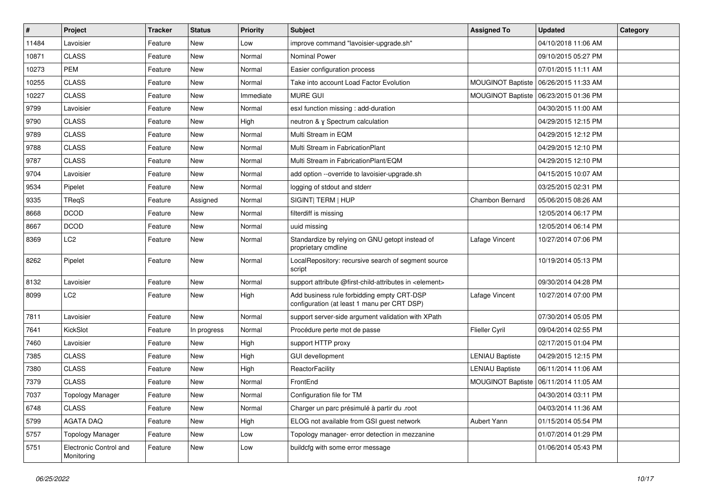| $\sharp$ | Project                              | <b>Tracker</b> | <b>Status</b> | <b>Priority</b> | Subject                                                                                   | <b>Assigned To</b>       | <b>Updated</b>      | Category |
|----------|--------------------------------------|----------------|---------------|-----------------|-------------------------------------------------------------------------------------------|--------------------------|---------------------|----------|
| 11484    | Lavoisier                            | Feature        | New           | Low             | improve command "lavoisier-upgrade.sh"                                                    |                          | 04/10/2018 11:06 AM |          |
| 10871    | <b>CLASS</b>                         | Feature        | <b>New</b>    | Normal          | <b>Nominal Power</b>                                                                      |                          | 09/10/2015 05:27 PM |          |
| 10273    | <b>PEM</b>                           | Feature        | <b>New</b>    | Normal          | Easier configuration process                                                              |                          | 07/01/2015 11:11 AM |          |
| 10255    | <b>CLASS</b>                         | Feature        | New           | Normal          | Take into account Load Factor Evolution                                                   | <b>MOUGINOT Baptiste</b> | 06/26/2015 11:33 AM |          |
| 10227    | <b>CLASS</b>                         | Feature        | <b>New</b>    | Immediate       | <b>MURE GUI</b>                                                                           | <b>MOUGINOT Baptiste</b> | 06/23/2015 01:36 PM |          |
| 9799     | Lavoisier                            | Feature        | <b>New</b>    | Normal          | esxl function missing : add-duration                                                      |                          | 04/30/2015 11:00 AM |          |
| 9790     | <b>CLASS</b>                         | Feature        | New           | High            | neutron & y Spectrum calculation                                                          |                          | 04/29/2015 12:15 PM |          |
| 9789     | <b>CLASS</b>                         | Feature        | New           | Normal          | Multi Stream in EQM                                                                       |                          | 04/29/2015 12:12 PM |          |
| 9788     | <b>CLASS</b>                         | Feature        | New           | Normal          | Multi Stream in FabricationPlant                                                          |                          | 04/29/2015 12:10 PM |          |
| 9787     | <b>CLASS</b>                         | Feature        | <b>New</b>    | Normal          | Multi Stream in FabricationPlant/EQM                                                      |                          | 04/29/2015 12:10 PM |          |
| 9704     | Lavoisier                            | Feature        | New           | Normal          | add option --override to lavoisier-upgrade.sh                                             |                          | 04/15/2015 10:07 AM |          |
| 9534     | Pipelet                              | Feature        | <b>New</b>    | Normal          | logging of stdout and stderr                                                              |                          | 03/25/2015 02:31 PM |          |
| 9335     | TReqS                                | Feature        | Assigned      | Normal          | SIGINT  TERM   HUP                                                                        | Chambon Bernard          | 05/06/2015 08:26 AM |          |
| 8668     | <b>DCOD</b>                          | Feature        | New           | Normal          | filterdiff is missing                                                                     |                          | 12/05/2014 06:17 PM |          |
| 8667     | <b>DCOD</b>                          | Feature        | <b>New</b>    | Normal          | uuid missing                                                                              |                          | 12/05/2014 06:14 PM |          |
| 8369     | LC2                                  | Feature        | New           | Normal          | Standardize by relying on GNU getopt instead of<br>proprietary cmdline                    | Lafage Vincent           | 10/27/2014 07:06 PM |          |
| 8262     | Pipelet                              | Feature        | <b>New</b>    | Normal          | LocalRepository: recursive search of segment source<br>script                             |                          | 10/19/2014 05:13 PM |          |
| 8132     | Lavoisier                            | Feature        | <b>New</b>    | Normal          | support attribute @first-child-attributes in <element></element>                          |                          | 09/30/2014 04:28 PM |          |
| 8099     | LC <sub>2</sub>                      | Feature        | New           | High            | Add business rule forbidding empty CRT-DSP<br>configuration (at least 1 manu per CRT DSP) | Lafage Vincent           | 10/27/2014 07:00 PM |          |
| 7811     | Lavoisier                            | Feature        | <b>New</b>    | Normal          | support server-side argument validation with XPath                                        |                          | 07/30/2014 05:05 PM |          |
| 7641     | KickSlot                             | Feature        | In progress   | Normal          | Procédure perte mot de passe                                                              | <b>Flieller Cyril</b>    | 09/04/2014 02:55 PM |          |
| 7460     | Lavoisier                            | Feature        | New           | High            | support HTTP proxy                                                                        |                          | 02/17/2015 01:04 PM |          |
| 7385     | <b>CLASS</b>                         | Feature        | <b>New</b>    | High            | <b>GUI devellopment</b>                                                                   | <b>LENIAU Baptiste</b>   | 04/29/2015 12:15 PM |          |
| 7380     | <b>CLASS</b>                         | Feature        | New           | High            | ReactorFacility                                                                           | <b>LENIAU Baptiste</b>   | 06/11/2014 11:06 AM |          |
| 7379     | <b>CLASS</b>                         | Feature        | New           | Normal          | FrontEnd                                                                                  | <b>MOUGINOT Baptiste</b> | 06/11/2014 11:05 AM |          |
| 7037     | <b>Topology Manager</b>              | Feature        | New           | Normal          | Configuration file for TM                                                                 |                          | 04/30/2014 03:11 PM |          |
| 6748     | <b>CLASS</b>                         | Feature        | New           | Normal          | Charger un parc présimulé à partir du .root                                               |                          | 04/03/2014 11:36 AM |          |
| 5799     | AGATA DAQ                            | Feature        | New           | High            | ELOG not available from GSI guest network                                                 | Aubert Yann              | 01/15/2014 05:54 PM |          |
| 5757     | <b>Topology Manager</b>              | Feature        | New           | Low             | Topology manager- error detection in mezzanine                                            |                          | 01/07/2014 01:29 PM |          |
| 5751     | Electronic Control and<br>Monitoring | Feature        | New           | Low             | buildcfg with some error message                                                          |                          | 01/06/2014 05:43 PM |          |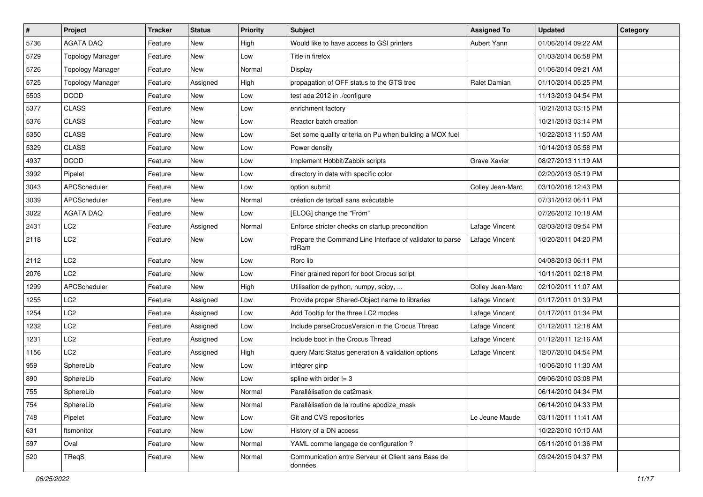| $\pmb{\#}$ | Project                 | <b>Tracker</b> | <b>Status</b> | <b>Priority</b> | Subject                                                           | <b>Assigned To</b>  | <b>Updated</b>      | Category |
|------------|-------------------------|----------------|---------------|-----------------|-------------------------------------------------------------------|---------------------|---------------------|----------|
| 5736       | <b>AGATA DAQ</b>        | Feature        | New           | High            | Would like to have access to GSI printers                         | Aubert Yann         | 01/06/2014 09:22 AM |          |
| 5729       | <b>Topology Manager</b> | Feature        | New           | Low             | Title in firefox                                                  |                     | 01/03/2014 06:58 PM |          |
| 5726       | <b>Topology Manager</b> | Feature        | <b>New</b>    | Normal          | Display                                                           |                     | 01/06/2014 09:21 AM |          |
| 5725       | <b>Topology Manager</b> | Feature        | Assigned      | High            | propagation of OFF status to the GTS tree                         | Ralet Damian        | 01/10/2014 05:25 PM |          |
| 5503       | <b>DCOD</b>             | Feature        | New           | Low             | test ada 2012 in ./configure                                      |                     | 11/13/2013 04:54 PM |          |
| 5377       | <b>CLASS</b>            | Feature        | New           | Low             | enrichment factory                                                |                     | 10/21/2013 03:15 PM |          |
| 5376       | <b>CLASS</b>            | Feature        | <b>New</b>    | Low             | Reactor batch creation                                            |                     | 10/21/2013 03:14 PM |          |
| 5350       | <b>CLASS</b>            | Feature        | New           | Low             | Set some quality criteria on Pu when building a MOX fuel          |                     | 10/22/2013 11:50 AM |          |
| 5329       | <b>CLASS</b>            | Feature        | New           | Low             | Power density                                                     |                     | 10/14/2013 05:58 PM |          |
| 4937       | <b>DCOD</b>             | Feature        | New           | Low             | Implement Hobbit/Zabbix scripts                                   | <b>Grave Xavier</b> | 08/27/2013 11:19 AM |          |
| 3992       | Pipelet                 | Feature        | New           | Low             | directory in data with specific color                             |                     | 02/20/2013 05:19 PM |          |
| 3043       | APCScheduler            | Feature        | New           | Low             | option submit                                                     | Colley Jean-Marc    | 03/10/2016 12:43 PM |          |
| 3039       | APCScheduler            | Feature        | New           | Normal          | création de tarball sans exécutable                               |                     | 07/31/2012 06:11 PM |          |
| 3022       | <b>AGATA DAQ</b>        | Feature        | New           | Low             | [ELOG] change the "From"                                          |                     | 07/26/2012 10:18 AM |          |
| 2431       | LC <sub>2</sub>         | Feature        | Assigned      | Normal          | Enforce stricter checks on startup precondition                   | Lafage Vincent      | 02/03/2012 09:54 PM |          |
| 2118       | LC <sub>2</sub>         | Feature        | New           | Low             | Prepare the Command Line Interface of validator to parse<br>rdRam | Lafage Vincent      | 10/20/2011 04:20 PM |          |
| 2112       | LC <sub>2</sub>         | Feature        | New           | Low             | Rorc lib                                                          |                     | 04/08/2013 06:11 PM |          |
| 2076       | LC2                     | Feature        | New           | Low             | Finer grained report for boot Crocus script                       |                     | 10/11/2011 02:18 PM |          |
| 1299       | APCScheduler            | Feature        | New           | High            | Utilisation de python, numpy, scipy,                              | Colley Jean-Marc    | 02/10/2011 11:07 AM |          |
| 1255       | LC <sub>2</sub>         | Feature        | Assigned      | Low             | Provide proper Shared-Object name to libraries                    | Lafage Vincent      | 01/17/2011 01:39 PM |          |
| 1254       | LC <sub>2</sub>         | Feature        | Assigned      | Low             | Add Tooltip for the three LC2 modes                               | Lafage Vincent      | 01/17/2011 01:34 PM |          |
| 1232       | LC <sub>2</sub>         | Feature        | Assigned      | Low             | Include parseCrocusVersion in the Crocus Thread                   | Lafage Vincent      | 01/12/2011 12:18 AM |          |
| 1231       | LC2                     | Feature        | Assigned      | Low             | Include boot in the Crocus Thread                                 | Lafage Vincent      | 01/12/2011 12:16 AM |          |
| 1156       | LC <sub>2</sub>         | Feature        | Assigned      | High            | query Marc Status generation & validation options                 | Lafage Vincent      | 12/07/2010 04:54 PM |          |
| 959        | SphereLib               | Feature        | New           | Low             | intégrer ginp                                                     |                     | 10/06/2010 11:30 AM |          |
| 890        | SphereLib               | Feature        | New           | Low             | spline with order != 3                                            |                     | 09/06/2010 03:08 PM |          |
| 755        | SphereLib               | Feature        | New           | Normal          | Parallélisation de cat2mask                                       |                     | 06/14/2010 04:34 PM |          |
| 754        | SphereLib               | Feature        | New           | Normal          | Parallélisation de la routine apodize mask                        |                     | 06/14/2010 04:33 PM |          |
| 748        | Pipelet                 | Feature        | New           | Low             | Git and CVS repositories                                          | Le Jeune Maude      | 03/11/2011 11:41 AM |          |
| 631        | ftsmonitor              | Feature        | New           | Low             | History of a DN access                                            |                     | 10/22/2010 10:10 AM |          |
| 597        | Oval                    | Feature        | New           | Normal          | YAML comme langage de configuration ?                             |                     | 05/11/2010 01:36 PM |          |
| 520        | TReqS                   | Feature        | New           | Normal          | Communication entre Serveur et Client sans Base de<br>données     |                     | 03/24/2015 04:37 PM |          |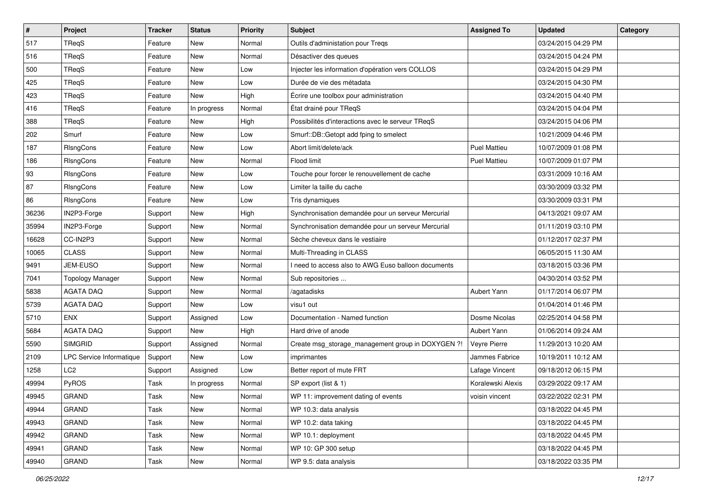| $\sharp$ | Project                         | <b>Tracker</b> | <b>Status</b> | <b>Priority</b> | <b>Subject</b>                                      | <b>Assigned To</b>  | <b>Updated</b>      | Category |
|----------|---------------------------------|----------------|---------------|-----------------|-----------------------------------------------------|---------------------|---------------------|----------|
| 517      | TReqS                           | Feature        | New           | Normal          | Outils d'administation pour Treqs                   |                     | 03/24/2015 04:29 PM |          |
| 516      | <b>TRegS</b>                    | Feature        | New           | Normal          | Désactiver des queues                               |                     | 03/24/2015 04:24 PM |          |
| 500      | TReaS                           | Feature        | New           | Low             | Injecter les information d'opération vers COLLOS    |                     | 03/24/2015 04:29 PM |          |
| 425      | TReqS                           | Feature        | New           | Low             | Durée de vie des métadata                           |                     | 03/24/2015 04:30 PM |          |
| 423      | TReaS                           | Feature        | New           | High            | Écrire une toolbox pour administration              |                     | 03/24/2015 04:40 PM |          |
| 416      | <b>TReqS</b>                    | Feature        | In progress   | Normal          | État drainé pour TReqS                              |                     | 03/24/2015 04:04 PM |          |
| 388      | <b>TRegS</b>                    | Feature        | New           | High            | Possibilités d'interactions avec le serveur TReqS   |                     | 03/24/2015 04:06 PM |          |
| 202      | Smurf                           | Feature        | New           | Low             | Smurf::DB::Getopt add fping to smelect              |                     | 10/21/2009 04:46 PM |          |
| 187      | RIsngCons                       | Feature        | New           | Low             | Abort limit/delete/ack                              | <b>Puel Mattieu</b> | 10/07/2009 01:08 PM |          |
| 186      | RIsngCons                       | Feature        | New           | Normal          | Flood limit                                         | <b>Puel Mattieu</b> | 10/07/2009 01:07 PM |          |
| 93       | RIsngCons                       | Feature        | New           | Low             | Touche pour forcer le renouvellement de cache       |                     | 03/31/2009 10:16 AM |          |
| 87       | RIsngCons                       | Feature        | New           | Low             | Limiter la taille du cache                          |                     | 03/30/2009 03:32 PM |          |
| 86       | RIsngCons                       | Feature        | New           | Low             | Tris dynamiques                                     |                     | 03/30/2009 03:31 PM |          |
| 36236    | IN2P3-Forge                     | Support        | New           | High            | Synchronisation demandée pour un serveur Mercurial  |                     | 04/13/2021 09:07 AM |          |
| 35994    | IN2P3-Forge                     | Support        | New           | Normal          | Synchronisation demandée pour un serveur Mercurial  |                     | 01/11/2019 03:10 PM |          |
| 16628    | CC-IN2P3                        | Support        | New           | Normal          | Sèche cheveux dans le vestiaire                     |                     | 01/12/2017 02:37 PM |          |
| 10065    | <b>CLASS</b>                    | Support        | New           | Normal          | Multi-Threading in CLASS                            |                     | 06/05/2015 11:30 AM |          |
| 9491     | JEM-EUSO                        | Support        | New           | Normal          | I need to access also to AWG Euso balloon documents |                     | 03/18/2015 03:36 PM |          |
| 7041     | <b>Topology Manager</b>         | Support        | New           | Normal          | Sub repositories                                    |                     | 04/30/2014 03:52 PM |          |
| 5838     | <b>AGATA DAQ</b>                | Support        | New           | Normal          | /agatadisks                                         | Aubert Yann         | 01/17/2014 06:07 PM |          |
| 5739     | <b>AGATA DAQ</b>                | Support        | New           | Low             | visu1 out                                           |                     | 01/04/2014 01:46 PM |          |
| 5710     | <b>ENX</b>                      | Support        | Assigned      | Low             | Documentation - Named function                      | Dosme Nicolas       | 02/25/2014 04:58 PM |          |
| 5684     | <b>AGATA DAQ</b>                | Support        | <b>New</b>    | High            | Hard drive of anode                                 | Aubert Yann         | 01/06/2014 09:24 AM |          |
| 5590     | <b>SIMGRID</b>                  | Support        | Assigned      | Normal          | Create msg_storage_management group in DOXYGEN ?!   | Veyre Pierre        | 11/29/2013 10:20 AM |          |
| 2109     | <b>LPC Service Informatique</b> | Support        | <b>New</b>    | Low             | imprimantes                                         | Jammes Fabrice      | 10/19/2011 10:12 AM |          |
| 1258     | LC <sub>2</sub>                 | Support        | Assigned      | Low             | Better report of mute FRT                           | Lafage Vincent      | 09/18/2012 06:15 PM |          |
| 49994    | PyROS                           | Task           | In progress   | Normal          | SP export (list & 1)                                | Koralewski Alexis   | 03/29/2022 09:17 AM |          |
| 49945    | <b>GRAND</b>                    | Task           | New           | Normal          | WP 11: improvement dating of events                 | voisin vincent      | 03/22/2022 02:31 PM |          |
| 49944    | <b>GRAND</b>                    | Task           | New           | Normal          | WP 10.3: data analysis                              |                     | 03/18/2022 04:45 PM |          |
| 49943    | <b>GRAND</b>                    | Task           | New           | Normal          | WP 10.2: data taking                                |                     | 03/18/2022 04:45 PM |          |
| 49942    | GRAND                           | Task           | New           | Normal          | WP 10.1: deployment                                 |                     | 03/18/2022 04:45 PM |          |
| 49941    | GRAND                           | Task           | New           | Normal          | WP 10: GP 300 setup                                 |                     | 03/18/2022 04:45 PM |          |
| 49940    | GRAND                           | Task           | New           | Normal          | WP 9.5: data analysis                               |                     | 03/18/2022 03:35 PM |          |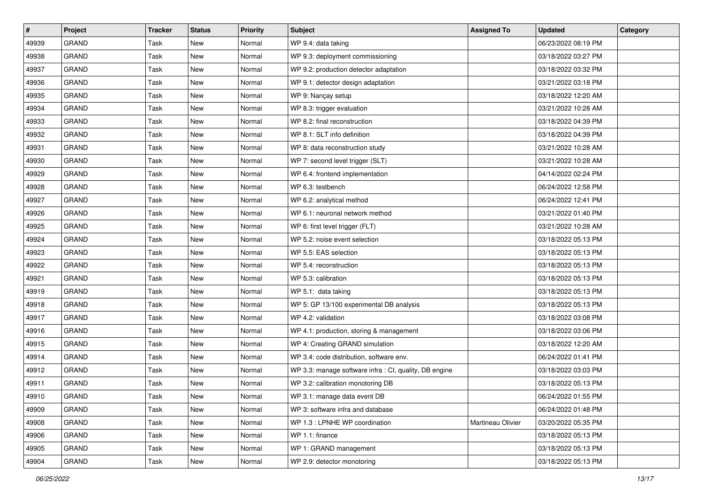| $\vert$ # | <b>Project</b> | <b>Tracker</b> | <b>Status</b> | <b>Priority</b> | Subject                                                | <b>Assigned To</b> | <b>Updated</b>      | Category |
|-----------|----------------|----------------|---------------|-----------------|--------------------------------------------------------|--------------------|---------------------|----------|
| 49939     | <b>GRAND</b>   | Task           | New           | Normal          | WP 9.4: data taking                                    |                    | 06/23/2022 08:19 PM |          |
| 49938     | <b>GRAND</b>   | Task           | <b>New</b>    | Normal          | WP 9.3: deployment commissioning                       |                    | 03/18/2022 03:27 PM |          |
| 49937     | GRAND          | Task           | New           | Normal          | WP 9.2: production detector adaptation                 |                    | 03/18/2022 03:32 PM |          |
| 49936     | <b>GRAND</b>   | <b>Task</b>    | <b>New</b>    | Normal          | WP 9.1: detector design adaptation                     |                    | 03/21/2022 03:18 PM |          |
| 49935     | <b>GRAND</b>   | Task           | <b>New</b>    | Normal          | WP 9: Nançay setup                                     |                    | 03/18/2022 12:20 AM |          |
| 49934     | <b>GRAND</b>   | Task           | New           | Normal          | WP 8.3: trigger evaluation                             |                    | 03/21/2022 10:28 AM |          |
| 49933     | <b>GRAND</b>   | Task           | <b>New</b>    | Normal          | WP 8.2: final reconstruction                           |                    | 03/18/2022 04:39 PM |          |
| 49932     | <b>GRAND</b>   | Task           | New           | Normal          | WP 8.1: SLT info definition                            |                    | 03/18/2022 04:39 PM |          |
| 49931     | <b>GRAND</b>   | <b>Task</b>    | New           | Normal          | WP 8: data reconstruction study                        |                    | 03/21/2022 10:28 AM |          |
| 49930     | <b>GRAND</b>   | Task           | <b>New</b>    | Normal          | WP 7: second level trigger (SLT)                       |                    | 03/21/2022 10:28 AM |          |
| 49929     | <b>GRAND</b>   | Task           | <b>New</b>    | Normal          | WP 6.4: frontend implementation                        |                    | 04/14/2022 02:24 PM |          |
| 49928     | <b>GRAND</b>   | Task           | <b>New</b>    | Normal          | WP 6.3: testbench                                      |                    | 06/24/2022 12:58 PM |          |
| 49927     | <b>GRAND</b>   | Task           | New           | Normal          | WP 6.2: analytical method                              |                    | 06/24/2022 12:41 PM |          |
| 49926     | <b>GRAND</b>   | <b>Task</b>    | <b>New</b>    | Normal          | WP 6.1: neuronal network method                        |                    | 03/21/2022 01:40 PM |          |
| 49925     | <b>GRAND</b>   | Task           | <b>New</b>    | Normal          | WP 6: first level trigger (FLT)                        |                    | 03/21/2022 10:28 AM |          |
| 49924     | <b>GRAND</b>   | Task           | <b>New</b>    | Normal          | WP 5.2: noise event selection                          |                    | 03/18/2022 05:13 PM |          |
| 49923     | <b>GRAND</b>   | <b>Task</b>    | <b>New</b>    | Normal          | WP 5.5: EAS selection                                  |                    | 03/18/2022 05:13 PM |          |
| 49922     | <b>GRAND</b>   | Task           | New           | Normal          | WP 5.4: reconstruction                                 |                    | 03/18/2022 05:13 PM |          |
| 49921     | <b>GRAND</b>   | <b>Task</b>    | <b>New</b>    | Normal          | WP 5.3: calibration                                    |                    | 03/18/2022 05:13 PM |          |
| 49919     | <b>GRAND</b>   | Task           | <b>New</b>    | Normal          | WP 5.1: data taking                                    |                    | 03/18/2022 05:13 PM |          |
| 49918     | <b>GRAND</b>   | Task           | New           | Normal          | WP 5: GP 13/100 experimental DB analysis               |                    | 03/18/2022 05:13 PM |          |
| 49917     | <b>GRAND</b>   | <b>Task</b>    | New           | Normal          | WP 4.2: validation                                     |                    | 03/18/2022 03:08 PM |          |
| 49916     | GRAND          | Task           | <b>New</b>    | Normal          | WP 4.1: production, storing & management               |                    | 03/18/2022 03:06 PM |          |
| 49915     | <b>GRAND</b>   | Task           | <b>New</b>    | Normal          | WP 4: Creating GRAND simulation                        |                    | 03/18/2022 12:20 AM |          |
| 49914     | <b>GRAND</b>   | <b>Task</b>    | <b>New</b>    | Normal          | WP 3.4: code distribution, software env.               |                    | 06/24/2022 01:41 PM |          |
| 49912     | <b>GRAND</b>   | Task           | New           | Normal          | WP 3.3: manage software infra : CI, quality, DB engine |                    | 03/18/2022 03:03 PM |          |
| 49911     | <b>GRAND</b>   | Task           | <b>New</b>    | Normal          | WP 3.2: calibration monotoring DB                      |                    | 03/18/2022 05:13 PM |          |
| 49910     | <b>GRAND</b>   | Task           | New           | Normal          | WP 3.1: manage data event DB                           |                    | 06/24/2022 01:55 PM |          |
| 49909     | <b>GRAND</b>   | Task           | New           | Normal          | WP 3: software infra and database                      |                    | 06/24/2022 01:48 PM |          |
| 49908     | <b>GRAND</b>   | Task           | New           | Normal          | WP 1.3 : LPNHE WP coordination                         | Martineau Olivier  | 03/20/2022 05:35 PM |          |
| 49906     | GRAND          | Task           | New           | Normal          | WP 1.1: finance                                        |                    | 03/18/2022 05:13 PM |          |
| 49905     | GRAND          | Task           | New           | Normal          | WP 1: GRAND management                                 |                    | 03/18/2022 05:13 PM |          |
| 49904     | GRAND          | Task           | New           | Normal          | WP 2.9: detector monotoring                            |                    | 03/18/2022 05:13 PM |          |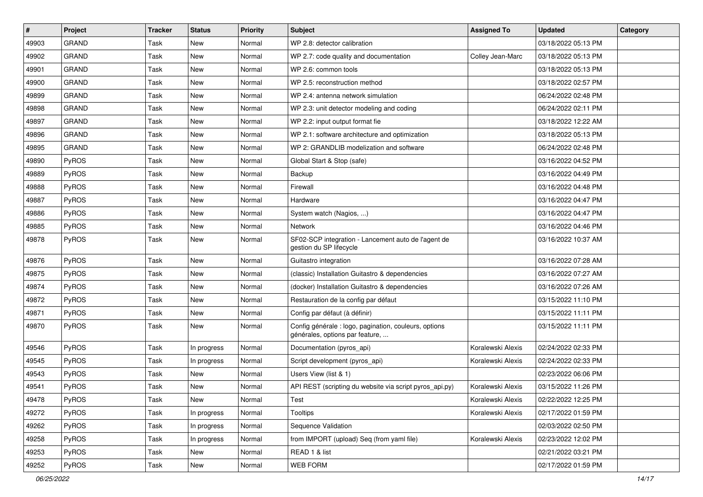| $\pmb{\#}$ | <b>Project</b> | <b>Tracker</b> | <b>Status</b> | <b>Priority</b> | <b>Subject</b>                                                                           | <b>Assigned To</b> | <b>Updated</b>      | Category |
|------------|----------------|----------------|---------------|-----------------|------------------------------------------------------------------------------------------|--------------------|---------------------|----------|
| 49903      | <b>GRAND</b>   | Task           | New           | Normal          | WP 2.8: detector calibration                                                             |                    | 03/18/2022 05:13 PM |          |
| 49902      | <b>GRAND</b>   | Task           | <b>New</b>    | Normal          | WP 2.7: code quality and documentation                                                   | Colley Jean-Marc   | 03/18/2022 05:13 PM |          |
| 49901      | <b>GRAND</b>   | Task           | <b>New</b>    | Normal          | WP 2.6: common tools                                                                     |                    | 03/18/2022 05:13 PM |          |
| 49900      | <b>GRAND</b>   | Task           | <b>New</b>    | Normal          | WP 2.5: reconstruction method                                                            |                    | 03/18/2022 02:57 PM |          |
| 49899      | <b>GRAND</b>   | Task           | <b>New</b>    | Normal          | WP 2.4: antenna network simulation                                                       |                    | 06/24/2022 02:48 PM |          |
| 49898      | <b>GRAND</b>   | Task           | <b>New</b>    | Normal          | WP 2.3: unit detector modeling and coding                                                |                    | 06/24/2022 02:11 PM |          |
| 49897      | <b>GRAND</b>   | <b>Task</b>    | <b>New</b>    | Normal          | WP 2.2: input output format fie                                                          |                    | 03/18/2022 12:22 AM |          |
| 49896      | <b>GRAND</b>   | Task           | New           | Normal          | WP 2.1: software architecture and optimization                                           |                    | 03/18/2022 05:13 PM |          |
| 49895      | <b>GRAND</b>   | Task           | <b>New</b>    | Normal          | WP 2: GRANDLIB modelization and software                                                 |                    | 06/24/2022 02:48 PM |          |
| 49890      | PyROS          | Task           | <b>New</b>    | Normal          | Global Start & Stop (safe)                                                               |                    | 03/16/2022 04:52 PM |          |
| 49889      | PyROS          | Task           | <b>New</b>    | Normal          | Backup                                                                                   |                    | 03/16/2022 04:49 PM |          |
| 49888      | PyROS          | <b>Task</b>    | <b>New</b>    | Normal          | Firewall                                                                                 |                    | 03/16/2022 04:48 PM |          |
| 49887      | PyROS          | Task           | <b>New</b>    | Normal          | Hardware                                                                                 |                    | 03/16/2022 04:47 PM |          |
| 49886      | PyROS          | Task           | <b>New</b>    | Normal          | System watch (Nagios, )                                                                  |                    | 03/16/2022 04:47 PM |          |
| 49885      | PyROS          | Task           | <b>New</b>    | Normal          | Network                                                                                  |                    | 03/16/2022 04:46 PM |          |
| 49878      | <b>PyROS</b>   | Task           | <b>New</b>    | Normal          | SF02-SCP integration - Lancement auto de l'agent de<br>gestion du SP lifecycle           |                    | 03/16/2022 10:37 AM |          |
| 49876      | PyROS          | Task           | <b>New</b>    | Normal          | Guitastro integration                                                                    |                    | 03/16/2022 07:28 AM |          |
| 49875      | PyROS          | Task           | <b>New</b>    | Normal          | (classic) Installation Guitastro & dependencies                                          |                    | 03/16/2022 07:27 AM |          |
| 49874      | PyROS          | Task           | <b>New</b>    | Normal          | (docker) Installation Guitastro & dependencies                                           |                    | 03/16/2022 07:26 AM |          |
| 49872      | PyROS          | Task           | New           | Normal          | Restauration de la config par défaut                                                     |                    | 03/15/2022 11:10 PM |          |
| 49871      | PyROS          | Task           | <b>New</b>    | Normal          | Config par défaut (à définir)                                                            |                    | 03/15/2022 11:11 PM |          |
| 49870      | PyROS          | Task           | <b>New</b>    | Normal          | Config générale : logo, pagination, couleurs, options<br>générales, options par feature, |                    | 03/15/2022 11:11 PM |          |
| 49546      | PyROS          | Task           | In progress   | Normal          | Documentation (pyros_api)                                                                | Koralewski Alexis  | 02/24/2022 02:33 PM |          |
| 49545      | PyROS          | Task           | In progress   | Normal          | Script development (pyros_api)                                                           | Koralewski Alexis  | 02/24/2022 02:33 PM |          |
| 49543      | PyROS          | Task           | <b>New</b>    | Normal          | Users View (list & 1)                                                                    |                    | 02/23/2022 06:06 PM |          |
| 49541      | PyROS          | Task           | <b>New</b>    | Normal          | API REST (scripting du website via script pyros_api.py)                                  | Koralewski Alexis  | 03/15/2022 11:26 PM |          |
| 49478      | PyROS          | Task           | New           | Normal          | Test                                                                                     | Koralewski Alexis  | 02/22/2022 12:25 PM |          |
| 49272      | PyROS          | Task           | In progress   | Normal          | Tooltips                                                                                 | Koralewski Alexis  | 02/17/2022 01:59 PM |          |
| 49262      | PyROS          | Task           | In progress   | Normal          | Sequence Validation                                                                      |                    | 02/03/2022 02:50 PM |          |
| 49258      | PyROS          | Task           | In progress   | Normal          | from IMPORT (upload) Seq (from yaml file)                                                | Koralewski Alexis  | 02/23/2022 12:02 PM |          |
| 49253      | PyROS          | Task           | New           | Normal          | READ 1 & list                                                                            |                    | 02/21/2022 03:21 PM |          |
| 49252      | PyROS          | Task           | New           | Normal          | WEB FORM                                                                                 |                    | 02/17/2022 01:59 PM |          |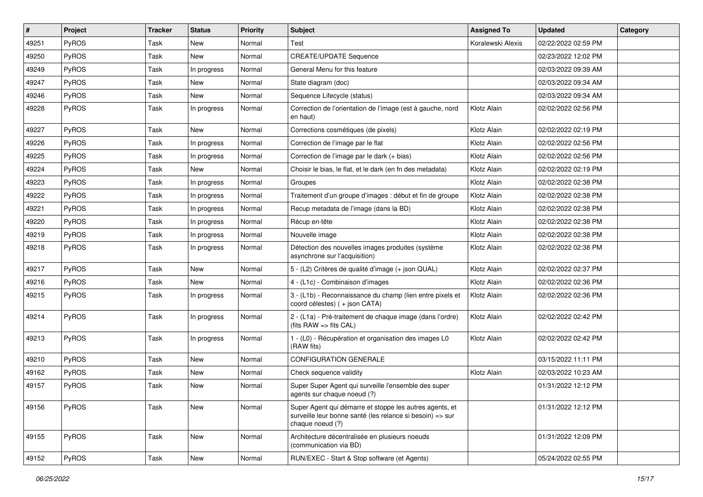| $\vert$ # | Project      | <b>Tracker</b> | <b>Status</b> | <b>Priority</b> | Subject                                                                                                                                  | <b>Assigned To</b> | <b>Updated</b>      | Category |
|-----------|--------------|----------------|---------------|-----------------|------------------------------------------------------------------------------------------------------------------------------------------|--------------------|---------------------|----------|
| 49251     | PyROS        | <b>Task</b>    | New           | Normal          | Test                                                                                                                                     | Koralewski Alexis  | 02/22/2022 02:59 PM |          |
| 49250     | PyROS        | Task           | <b>New</b>    | Normal          | <b>CREATE/UPDATE Sequence</b>                                                                                                            |                    | 02/23/2022 12:02 PM |          |
| 49249     | PyROS        | Task           | In progress   | Normal          | General Menu for this feature                                                                                                            |                    | 02/03/2022 09:39 AM |          |
| 49247     | PyROS        | Task           | New           | Normal          | State diagram (doc)                                                                                                                      |                    | 02/03/2022 09:34 AM |          |
| 49246     | PyROS        | Task           | <b>New</b>    | Normal          | Sequence Lifecycle (status)                                                                                                              |                    | 02/03/2022 09:34 AM |          |
| 49228     | PyROS        | Task           | In progress   | Normal          | Correction de l'orientation de l'image (est à gauche, nord<br>en haut)                                                                   | Klotz Alain        | 02/02/2022 02:56 PM |          |
| 49227     | PyROS        | Task           | New           | Normal          | Corrections cosmétiques (de pixels)                                                                                                      | Klotz Alain        | 02/02/2022 02:19 PM |          |
| 49226     | PyROS        | Task           | In progress   | Normal          | Correction de l'image par le flat                                                                                                        | Klotz Alain        | 02/02/2022 02:56 PM |          |
| 49225     | PyROS        | Task           | In progress   | Normal          | Correction de l'image par le dark (+ bias)                                                                                               | Klotz Alain        | 02/02/2022 02:56 PM |          |
| 49224     | PyROS        | Task           | New           | Normal          | Choisir le bias, le flat, et le dark (en fn des metadata)                                                                                | Klotz Alain        | 02/02/2022 02:19 PM |          |
| 49223     | PyROS        | Task           | In progress   | Normal          | Groupes                                                                                                                                  | Klotz Alain        | 02/02/2022 02:38 PM |          |
| 49222     | PyROS        | Task           | In progress   | Normal          | Traitement d'un groupe d'images : début et fin de groupe                                                                                 | Klotz Alain        | 02/02/2022 02:38 PM |          |
| 49221     | PyROS        | Task           | In progress   | Normal          | Recup metadata de l'image (dans la BD)                                                                                                   | Klotz Alain        | 02/02/2022 02:38 PM |          |
| 49220     | PyROS        | Task           | In progress   | Normal          | Récup en-tête                                                                                                                            | Klotz Alain        | 02/02/2022 02:38 PM |          |
| 49219     | PyROS        | Task           | In progress   | Normal          | Nouvelle image                                                                                                                           | Klotz Alain        | 02/02/2022 02:38 PM |          |
| 49218     | PyROS        | Task           | In progress   | Normal          | Détection des nouvelles images produites (système<br>asynchrone sur l'acquisition)                                                       | Klotz Alain        | 02/02/2022 02:38 PM |          |
| 49217     | PyROS        | Task           | New           | Normal          | 5 - (L2) Critères de qualité d'image (+ json QUAL)                                                                                       | Klotz Alain        | 02/02/2022 02:37 PM |          |
| 49216     | PyROS        | Task           | <b>New</b>    | Normal          | 4 - (L1c) - Combinaison d'images                                                                                                         | Klotz Alain        | 02/02/2022 02:36 PM |          |
| 49215     | <b>PyROS</b> | Task           | In progress   | Normal          | 3 - (L1b) - Reconnaissance du champ (lien entre pixels et<br>coord célestes) (+ json CATA)                                               | Klotz Alain        | 02/02/2022 02:36 PM |          |
| 49214     | PyROS        | Task           | In progress   | Normal          | 2 - (L1a) - Pré-traitement de chaque image (dans l'ordre)<br>(fits $RAW \Rightarrow$ fits $CAL$ )                                        | Klotz Alain        | 02/02/2022 02:42 PM |          |
| 49213     | PyROS        | Task           | In progress   | Normal          | 1 - (L0) - Récupération et organisation des images L0<br>(RAW fits)                                                                      | Klotz Alain        | 02/02/2022 02:42 PM |          |
| 49210     | PyROS        | Task           | <b>New</b>    | Normal          | <b>CONFIGURATION GENERALE</b>                                                                                                            |                    | 03/15/2022 11:11 PM |          |
| 49162     | PyROS        | Task           | <b>New</b>    | Normal          | Check sequence validity                                                                                                                  | Klotz Alain        | 02/03/2022 10:23 AM |          |
| 49157     | PyROS        | Task           | <b>New</b>    | Normal          | Super Super Agent qui surveille l'ensemble des super<br>agents sur chaque noeud (?)                                                      |                    | 01/31/2022 12:12 PM |          |
| 49156     | PyROS        | Task           | New           | Normal          | Super Agent qui démarre et stoppe les autres agents, et<br>surveille leur bonne santé (les relance si besoin) => sur<br>chaque noeud (?) |                    | 01/31/2022 12:12 PM |          |
| 49155     | PyROS        | Task           | New           | Normal          | Architecture décentralisée en plusieurs noeuds<br>(communication via BD)                                                                 |                    | 01/31/2022 12:09 PM |          |
| 49152     | PyROS        | Task           | New           | Normal          | RUN/EXEC - Start & Stop software (et Agents)                                                                                             |                    | 05/24/2022 02:55 PM |          |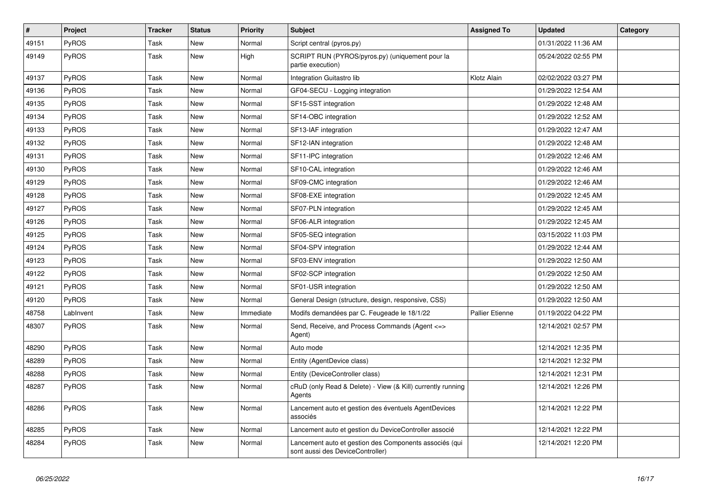| $\vert$ # | <b>Project</b> | <b>Tracker</b> | <b>Status</b> | <b>Priority</b> | <b>Subject</b>                                                                             | <b>Assigned To</b>     | <b>Updated</b>      | Category |
|-----------|----------------|----------------|---------------|-----------------|--------------------------------------------------------------------------------------------|------------------------|---------------------|----------|
| 49151     | <b>PyROS</b>   | Task           | New           | Normal          | Script central (pyros.py)                                                                  |                        | 01/31/2022 11:36 AM |          |
| 49149     | <b>PyROS</b>   | Task           | New           | High            | SCRIPT RUN (PYROS/pyros.py) (uniquement pour la<br>partie execution)                       |                        | 05/24/2022 02:55 PM |          |
| 49137     | PyROS          | Task           | New           | Normal          | Integration Guitastro lib                                                                  | Klotz Alain            | 02/02/2022 03:27 PM |          |
| 49136     | PyROS          | Task           | New           | Normal          | GF04-SECU - Logging integration                                                            |                        | 01/29/2022 12:54 AM |          |
| 49135     | PyROS          | Task           | <b>New</b>    | Normal          | SF15-SST integration                                                                       |                        | 01/29/2022 12:48 AM |          |
| 49134     | <b>PyROS</b>   | Task           | New           | Normal          | SF14-OBC integration                                                                       |                        | 01/29/2022 12:52 AM |          |
| 49133     | PyROS          | Task           | New           | Normal          | SF13-IAF integration                                                                       |                        | 01/29/2022 12:47 AM |          |
| 49132     | PyROS          | Task           | New           | Normal          | SF12-IAN integration                                                                       |                        | 01/29/2022 12:48 AM |          |
| 49131     | PyROS          | Task           | <b>New</b>    | Normal          | SF11-IPC integration                                                                       |                        | 01/29/2022 12:46 AM |          |
| 49130     | PyROS          | Task           | New           | Normal          | SF10-CAL integration                                                                       |                        | 01/29/2022 12:46 AM |          |
| 49129     | PyROS          | Task           | New           | Normal          | SF09-CMC integration                                                                       |                        | 01/29/2022 12:46 AM |          |
| 49128     | PyROS          | Task           | <b>New</b>    | Normal          | SF08-EXE integration                                                                       |                        | 01/29/2022 12:45 AM |          |
| 49127     | <b>PyROS</b>   | Task           | <b>New</b>    | Normal          | SF07-PLN integration                                                                       |                        | 01/29/2022 12:45 AM |          |
| 49126     | PyROS          | Task           | <b>New</b>    | Normal          | SF06-ALR integration                                                                       |                        | 01/29/2022 12:45 AM |          |
| 49125     | PyROS          | Task           | New           | Normal          | SF05-SEQ integration                                                                       |                        | 03/15/2022 11:03 PM |          |
| 49124     | PyROS          | Task           | New           | Normal          | SF04-SPV integration                                                                       |                        | 01/29/2022 12:44 AM |          |
| 49123     | PyROS          | Task           | <b>New</b>    | Normal          | SF03-ENV integration                                                                       |                        | 01/29/2022 12:50 AM |          |
| 49122     | PyROS          | Task           | New           | Normal          | SF02-SCP integration                                                                       |                        | 01/29/2022 12:50 AM |          |
| 49121     | PyROS          | Task           | New           | Normal          | SF01-USR integration                                                                       |                        | 01/29/2022 12:50 AM |          |
| 49120     | PyROS          | Task           | <b>New</b>    | Normal          | General Design (structure, design, responsive, CSS)                                        |                        | 01/29/2022 12:50 AM |          |
| 48758     | LabInvent      | Task           | <b>New</b>    | Immediate       | Modifs demandées par C. Feugeade le 18/1/22                                                | <b>Pallier Etienne</b> | 01/19/2022 04:22 PM |          |
| 48307     | <b>PyROS</b>   | Task           | New           | Normal          | Send, Receive, and Process Commands (Agent <=><br>Agent)                                   |                        | 12/14/2021 02:57 PM |          |
| 48290     | PyROS          | Task           | New           | Normal          | Auto mode                                                                                  |                        | 12/14/2021 12:35 PM |          |
| 48289     | PyROS          | Task           | New           | Normal          | Entity (AgentDevice class)                                                                 |                        | 12/14/2021 12:32 PM |          |
| 48288     | <b>PyROS</b>   | Task           | New           | Normal          | Entity (DeviceController class)                                                            |                        | 12/14/2021 12:31 PM |          |
| 48287     | <b>PyROS</b>   | Task           | New           | Normal          | cRuD (only Read & Delete) - View (& Kill) currently running<br>Agents                      |                        | 12/14/2021 12:26 PM |          |
| 48286     | PyROS          | Task           | New           | Normal          | Lancement auto et gestion des éventuels AgentDevices<br>associés                           |                        | 12/14/2021 12:22 PM |          |
| 48285     | PyROS          | Task           | New           | Normal          | Lancement auto et gestion du DeviceController associé                                      |                        | 12/14/2021 12:22 PM |          |
| 48284     | PyROS          | Task           | <b>New</b>    | Normal          | Lancement auto et gestion des Components associés (qui<br>sont aussi des DeviceController) |                        | 12/14/2021 12:20 PM |          |